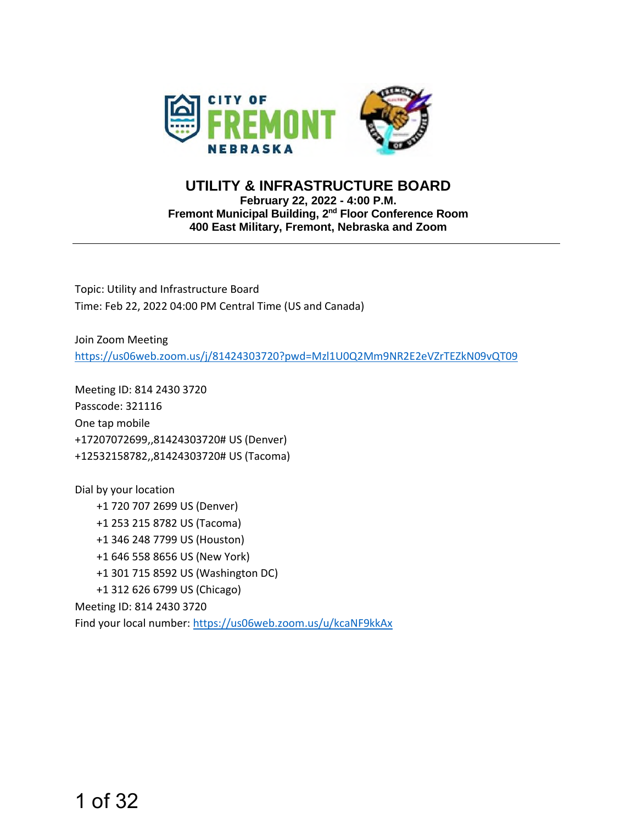

#### **UTILITY & INFRASTRUCTURE BOARD February 22, 2022 - 4:00 P.M. Fremont Municipal Building, 2nd Floor Conference Room 400 East Military, Fremont, Nebraska and Zoom**

Topic: Utility and Infrastructure Board Time: Feb 22, 2022 04:00 PM Central Time (US and Canada)

Join Zoom Meeting <https://us06web.zoom.us/j/81424303720?pwd=Mzl1U0Q2Mm9NR2E2eVZrTEZkN09vQT09>

Meeting ID: 814 2430 3720 Passcode: 321116 One tap mobile +17207072699,,81424303720# US (Denver) +12532158782,,81424303720# US (Tacoma)

Dial by your location +1 720 707 2699 US (Denver) +1 253 215 8782 US (Tacoma) +1 346 248 7799 US (Houston) +1 646 558 8656 US (New York) +1 301 715 8592 US (Washington DC) +1 312 626 6799 US (Chicago) Meeting ID: 814 2430 3720 Find your local number: <https://us06web.zoom.us/u/kcaNF9kkAx>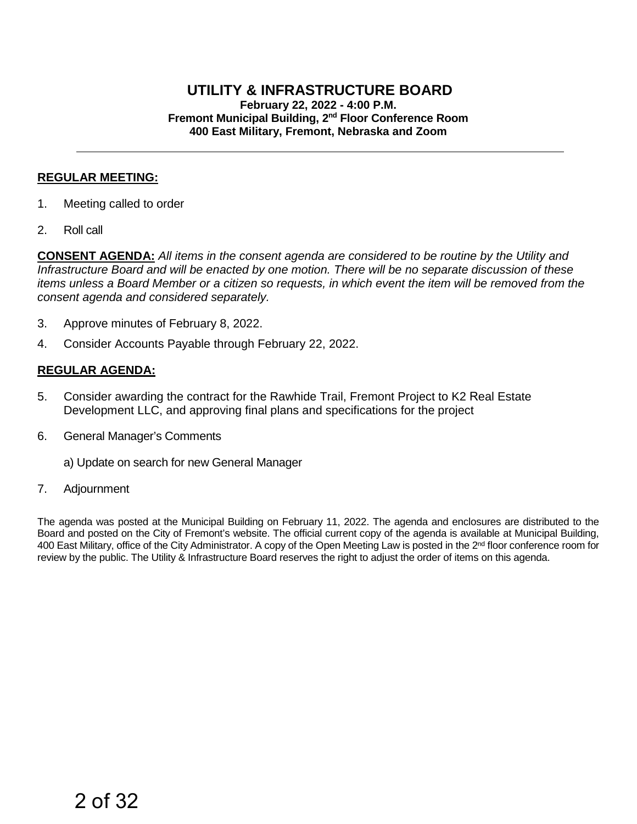#### **UTILITY & INFRASTRUCTURE BOARD February 22, 2022 - 4:00 P.M. Fremont Municipal Building, 2nd Floor Conference Room 400 East Military, Fremont, Nebraska and Zoom**

#### **REGULAR MEETING:**

- 1. Meeting called to order
- 2. Roll call

**CONSENT AGENDA:** *All items in the consent agenda are considered to be routine by the Utility and Infrastructure Board and will be enacted by one motion. There will be no separate discussion of these items unless a Board Member or a citizen so requests, in which event the item will be removed from the consent agenda and considered separately.*

- 3. Approve minutes of February 8, 2022.
- 4. Consider Accounts Payable through February 22, 2022.

#### **REGULAR AGENDA:**

- 5. Consider awarding the contract for the Rawhide Trail, Fremont Project to K2 Real Estate Development LLC, and approving final plans and specifications for the project
- 6. General Manager's Comments
	- a) Update on search for new General Manager
- 7. Adjournment

The agenda was posted at the Municipal Building on February 11, 2022. The agenda and enclosures are distributed to the Board and posted on the City of Fremont's website. The official current copy of the agenda is available at Municipal Building, 400 East Military, office of the City Administrator. A copy of the Open Meeting Law is posted in the 2<sup>nd</sup> floor conference room for review by the public. The Utility & Infrastructure Board reserves the right to adjust the order of items on this agenda.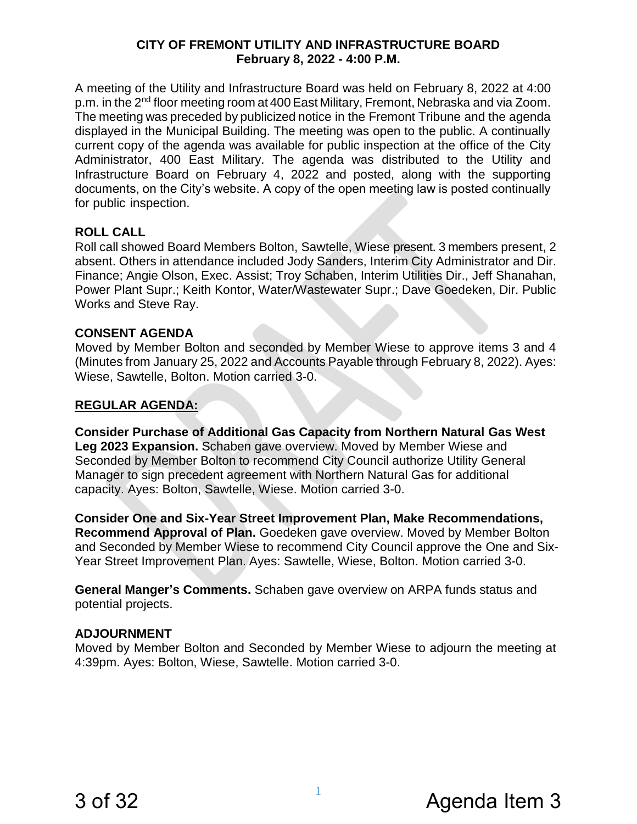#### **CITY OF FREMONT UTILITY AND INFRASTRUCTURE BOARD February 8, 2022 - 4:00 P.M.**

A meeting of the Utility and Infrastructure Board was held on February 8, 2022 at 4:00 p.m. in the 2<sup>nd</sup> floor meeting room at 400 East Military, Fremont, Nebraska and via Zoom. The meeting was preceded by publicized notice in the Fremont Tribune and the agenda displayed in the Municipal Building. The meeting was open to the public. A continually current copy of the agenda was available for public inspection at the office of the City Administrator, 400 East Military. The agenda was distributed to the Utility and Infrastructure Board on February 4, 2022 and posted, along with the supporting documents, on the City's website. A copy of the open meeting law is posted continually for public inspection.

#### **ROLL CALL**

Roll call showed Board Members Bolton, Sawtelle, Wiese present. 3 members present, 2 absent. Others in attendance included Jody Sanders, Interim City Administrator and Dir. Finance; Angie Olson, Exec. Assist; Troy Schaben, Interim Utilities Dir., Jeff Shanahan, Power Plant Supr.; Keith Kontor, Water/Wastewater Supr.; Dave Goedeken, Dir. Public Works and Steve Ray.

#### **CONSENT AGENDA**

Moved by Member Bolton and seconded by Member Wiese to approve items 3 and 4 (Minutes from January 25, 2022 and Accounts Payable through February 8, 2022). Ayes: Wiese, Sawtelle, Bolton. Motion carried 3-0.

#### **REGULAR AGENDA:**

**Consider Purchase of Additional Gas Capacity from Northern Natural Gas West Leg 2023 Expansion.** Schaben gave overview. Moved by Member Wiese and Seconded by Member Bolton to recommend City Council authorize Utility General Manager to sign precedent agreement with Northern Natural Gas for additional capacity. Ayes: Bolton, Sawtelle, Wiese. Motion carried 3-0.

**Consider One and Six-Year Street Improvement Plan, Make Recommendations, Recommend Approval of Plan.** Goedeken gave overview. Moved by Member Bolton and Seconded by Member Wiese to recommend City Council approve the One and Six-Year Street Improvement Plan. Ayes: Sawtelle, Wiese, Bolton. Motion carried 3-0.

**General Manger's Comments.** Schaben gave overview on ARPA funds status and potential projects.

#### **ADJOURNMENT**

Moved by Member Bolton and Seconded by Member Wiese to adjourn the meeting at 4:39pm. Ayes: Bolton, Wiese, Sawtelle. Motion carried 3-0.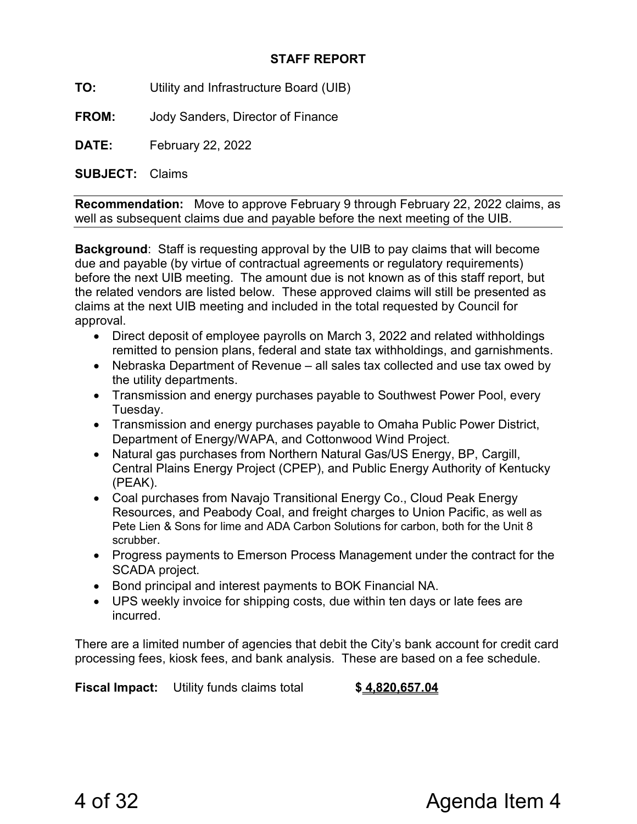#### STAFF REPORT

TO: Utility and Infrastructure Board (UIB)

FROM: Jody Sanders, Director of Finance

DATE: February 22, 2022

SUBJECT: Claims

Recommendation: Move to approve February 9 through February 22, 2022 claims, as well as subsequent claims due and payable before the next meeting of the UIB.

Background: Staff is requesting approval by the UIB to pay claims that will become due and payable (by virtue of contractual agreements or regulatory requirements) before the next UIB meeting. The amount due is not known as of this staff report, but the related vendors are listed below. These approved claims will still be presented as claims at the next UIB meeting and included in the total requested by Council for approval.

- Direct deposit of employee payrolls on March 3, 2022 and related withholdings remitted to pension plans, federal and state tax withholdings, and garnishments.
- Nebraska Department of Revenue all sales tax collected and use tax owed by the utility departments.
- Transmission and energy purchases payable to Southwest Power Pool, every Tuesday.
- Transmission and energy purchases payable to Omaha Public Power District, Department of Energy/WAPA, and Cottonwood Wind Project.
- Natural gas purchases from Northern Natural Gas/US Energy, BP, Cargill, Central Plains Energy Project (CPEP), and Public Energy Authority of Kentucky (PEAK).
- Coal purchases from Navajo Transitional Energy Co., Cloud Peak Energy Resources, and Peabody Coal, and freight charges to Union Pacific, as well as Pete Lien & Sons for lime and ADA Carbon Solutions for carbon, both for the Unit 8 scrubber.
- Progress payments to Emerson Process Management under the contract for the SCADA project.
- Bond principal and interest payments to BOK Financial NA.
- UPS weekly invoice for shipping costs, due within ten days or late fees are incurred.

There are a limited number of agencies that debit the City's bank account for credit card processing fees, kiosk fees, and bank analysis. These are based on a fee schedule.

**Fiscal Impact:** Utility funds claims total **\$4,820,657.04**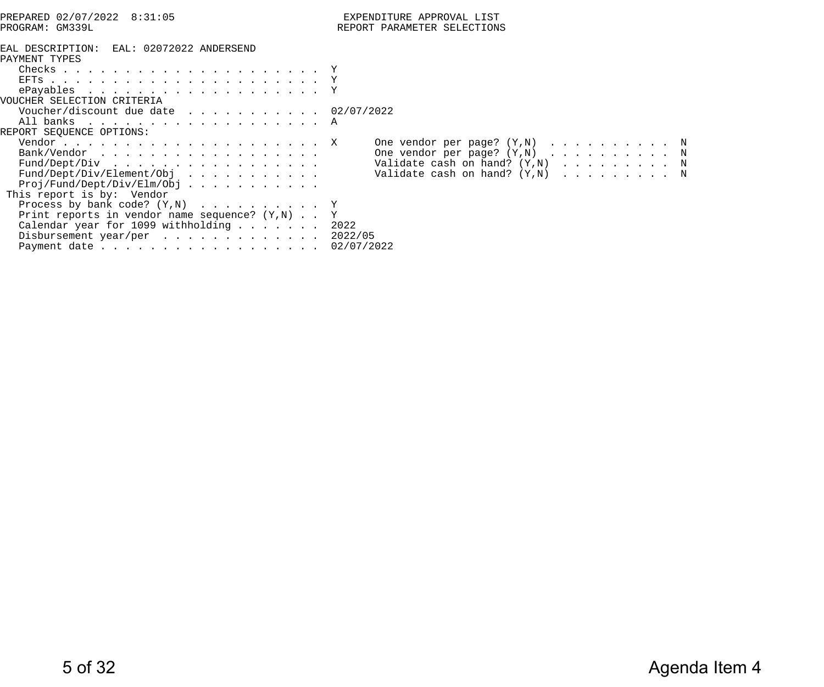| PREPARED 02/07/2022 8:31:05                                                                                                                                                                | EXPENDITURE APPROVAL LIST                                                                                                                                                     |
|--------------------------------------------------------------------------------------------------------------------------------------------------------------------------------------------|-------------------------------------------------------------------------------------------------------------------------------------------------------------------------------|
| PROGRAM: GM339L                                                                                                                                                                            | REPORT PARAMETER SELECTIONS                                                                                                                                                   |
| EAL DESCRIPTION: EAL: 02072022 ANDERSEND<br>PAYMENT TYPES<br>Checks $\ldots$ $\Upsilon$                                                                                                    |                                                                                                                                                                               |
|                                                                                                                                                                                            |                                                                                                                                                                               |
| VOUCHER SELECTION CRITERIA                                                                                                                                                                 |                                                                                                                                                                               |
| Voucher/discount due date $\ldots$ 02/07/2022<br>All banks A<br>REPORT SEQUENCE OPTIONS:                                                                                                   |                                                                                                                                                                               |
| Bank/Vendor<br>$Proj/Fund/Depth/Div/Elm/Obj$ .<br>This report is by: Vendor                                                                                                                | One vendor per page? $(Y, N)$ N<br>One vendor per page? $(Y,N)$ N<br>Fund/Dept/Div Validate cash on hand? (Y,N) N<br>Fund/Dept/Div/Element/Obj Validate cash on hand? (Y,N) N |
| Process by bank code? $(Y,N)$ Y<br>Print reports in vendor name sequence? $(Y,N)$ Y<br>Calendar year for 1099 withholding 2022<br>Disbursement year/per 2022/05<br>Payment date 02/07/2022 |                                                                                                                                                                               |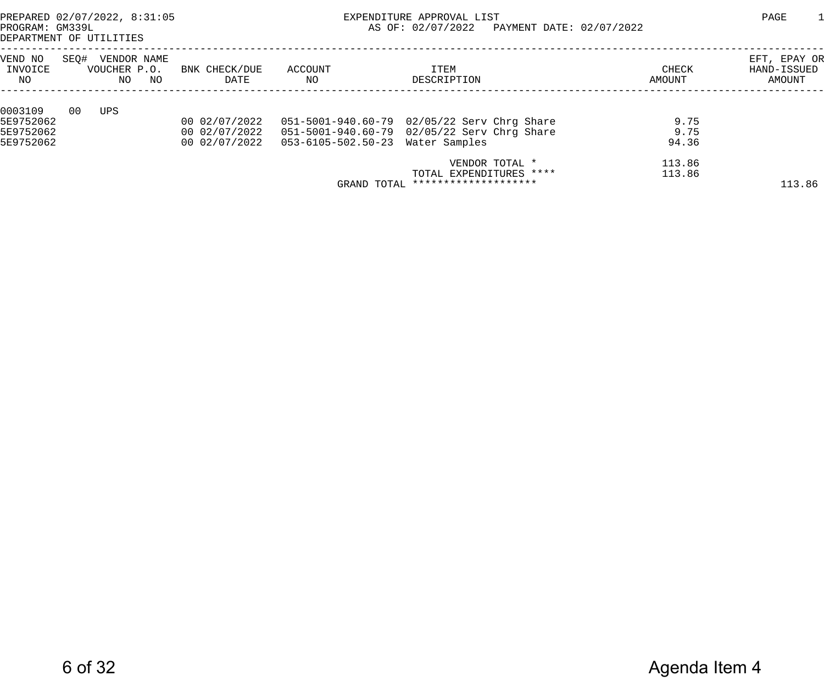PREPARED 02/07/2022, 8:31:05 EXPENDITURE APPROVAL LIST PAGE 1 AS OF: 02/07/2022 PAYMENT DATE: 02/07/2022

DEPARTMENT OF UTILITIES

| VEND NO<br>INVOICE | SEQ# | VENDOR NAME<br>VOUCHER P.O. |    | BNK CHECK/DUE | ACCOUNT                                            | ITEM                                        | CHECK  | EFT, EPAY OR<br>HAND-ISSUED |
|--------------------|------|-----------------------------|----|---------------|----------------------------------------------------|---------------------------------------------|--------|-----------------------------|
| NO.                |      | NO.                         | NO | DATE          | NO.                                                | DESCRIPTION                                 | AMOUNT | AMOUNT                      |
| 0003109            | 00   | UPS                         |    |               |                                                    |                                             |        |                             |
| 5E9752062          |      |                             |    | 00 02/07/2022 |                                                    | 051-5001-940.60-79 02/05/22 Serv Chrg Share | 9.75   |                             |
| 5E9752062          |      |                             |    | 00 02/07/2022 |                                                    | 051-5001-940.60-79 02/05/22 Serv Chrg Share | 9.75   |                             |
| 5E9752062          |      |                             |    |               | 00 02/07/2022   053-6105-502.50-23   Water Samples |                                             | 94.36  |                             |
|                    |      |                             |    |               |                                                    | VENDOR TOTAL *                              | 113.86 |                             |
|                    |      |                             |    |               |                                                    | TOTAL EXPENDITURES ****                     | 113.86 |                             |
|                    |      |                             |    |               | GRAND TOTAL                                        | ********************                        |        | 113.86                      |
|                    |      |                             |    |               |                                                    |                                             |        |                             |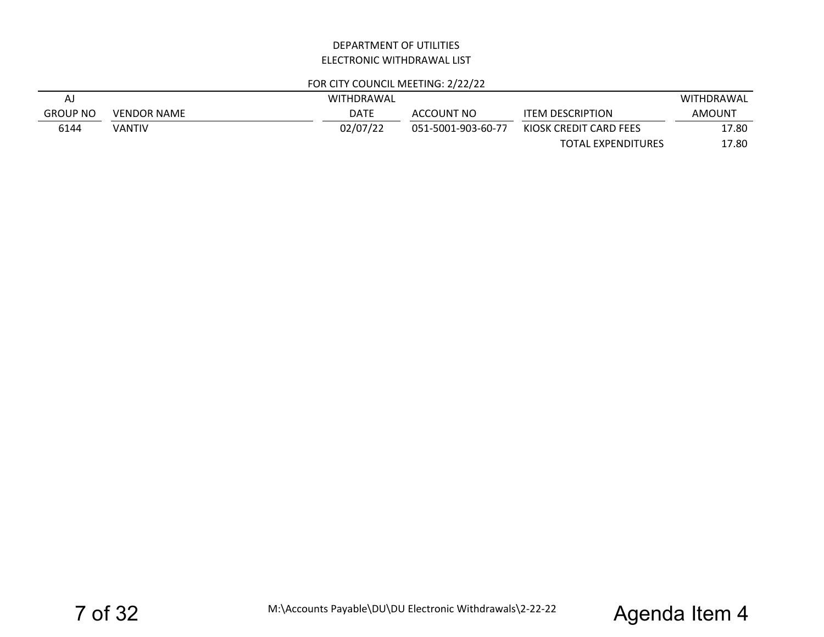#### DEPARTMENT OF UTILITIESELECTRONIC WITHDRAWAL LIST

#### FOR CITY COUNCIL MEETING: 2/22/22

| A,              |                    | WITHDRAWAL |                    |                         | <b>WITHDRAWAL</b> |
|-----------------|--------------------|------------|--------------------|-------------------------|-------------------|
| <b>GROUP NO</b> | <b>VENDOR NAME</b> | DATE       | ACCOUNT NO         | <b>ITEM DESCRIPTION</b> | AMOUNT            |
| 6144            | VANTIV             | 02/07/22   | 051-5001-903-60-77 | KIOSK CREDIT CARD FEES  | 17.80             |
|                 |                    |            |                    | TOTAL EXPENDITURES      | 17.80             |

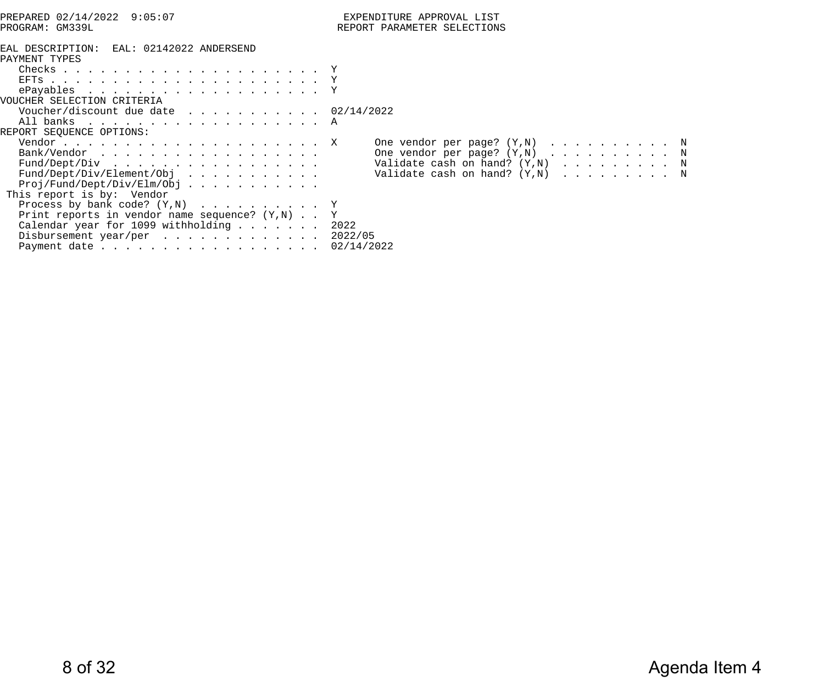| PREPARED 02/14/2022 9:05:07                                                                                                                                                                | EXPENDITURE APPROVAL LIST                                                                                                                                                      |
|--------------------------------------------------------------------------------------------------------------------------------------------------------------------------------------------|--------------------------------------------------------------------------------------------------------------------------------------------------------------------------------|
| PROGRAM: GM339L                                                                                                                                                                            | REPORT PARAMETER SELECTIONS                                                                                                                                                    |
| EAL DESCRIPTION: EAL: 02142022 ANDERSEND<br>PAYMENT TYPES<br>Checks $\ldots$ $\Upsilon$                                                                                                    |                                                                                                                                                                                |
|                                                                                                                                                                                            |                                                                                                                                                                                |
| VOUCHER SELECTION CRITERIA                                                                                                                                                                 |                                                                                                                                                                                |
| Voucher/discount due date $\ldots$ 02/14/2022<br>All banks A<br>REPORT SEQUENCE OPTIONS:                                                                                                   |                                                                                                                                                                                |
| Bank/Vendor<br>$Proj/Fund/Depth/Div/Elm/Obj$ .<br>This report is by: Vendor                                                                                                                | One vendor per page? $(Y, N)$ N<br>One vendor per page? $(Y, N)$ N<br>Fund/Dept/Div Validate cash on hand? (Y,N) N<br>Fund/Dept/Div/Element/Obj Validate cash on hand? (Y,N) N |
| Process by bank code? $(Y,N)$ Y<br>Print reports in vendor name sequence? $(Y,N)$ Y<br>Calendar year for 1099 withholding 2022<br>Disbursement year/per 2022/05<br>Payment date 02/14/2022 |                                                                                                                                                                                |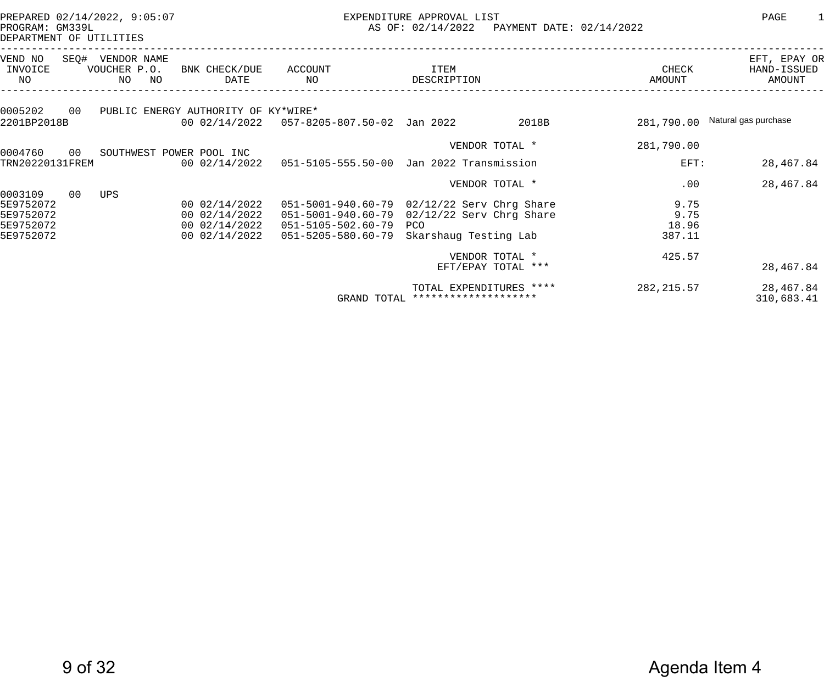PREPARED 02/14/2022, 9:05:07 EXPENDITURE APPROVAL LIST PAGE 1 AS OF: 02/14/2022 PAYMENT DATE: 02/14/2022

DEPARTMENT OF UTILITIES

| VEND NO<br>SEQ#<br>INVOICE<br>NO                 | VENDOR NAME<br>VOUCHER P.O.<br>ΝO<br>NO | BNK CHECK/DUE<br>DATE                                            | ACCOUNT<br>NO.                                                                               | ITEM<br>DESCRIPTION                                                                      |       | CHECK<br>AMOUNT                 | EFT, EPAY OR<br>HAND-ISSUED<br>AMOUNT |
|--------------------------------------------------|-----------------------------------------|------------------------------------------------------------------|----------------------------------------------------------------------------------------------|------------------------------------------------------------------------------------------|-------|---------------------------------|---------------------------------------|
| 0005202<br>00<br>2201BP2018B                     |                                         | PUBLIC ENERGY AUTHORITY OF KY*WIRE*<br>00 02/14/2022             | 057-8205-807.50-02 Jan 2022                                                                  |                                                                                          | 2018B | 281,790.00                      | Natural gas purchase                  |
| 0004760<br>00                                    |                                         | SOUTHWEST POWER POOL INC                                         |                                                                                              | VENDOR TOTAL *                                                                           |       | 281,790.00                      |                                       |
| TRN20220131FREM                                  |                                         | 00 02/14/2022                                                    | $051 - 5105 - 555.50 - 00$                                                                   | Jan 2022 Transmission                                                                    |       | $EFT$ :                         | 28,467.84                             |
| 00<br>0003109                                    | UPS                                     |                                                                  |                                                                                              | VENDOR TOTAL *                                                                           |       | .00                             | 28,467.84                             |
| 5E9752072<br>5E9752072<br>5E9752072<br>5E9752072 |                                         | 00 02/14/2022<br>00 02/14/2022<br>00 02/14/2022<br>00 02/14/2022 | 051-5001-940.60-79<br>051-5001-940.60-79<br>$051 - 5105 - 502.60 - 79$<br>051-5205-580.60-79 | $02/12/22$ Serv Chrg Share<br>$02/12/22$ Serv Chrg Share<br>PCO<br>Skarshaug Testing Lab |       | 9.75<br>9.75<br>18.96<br>387.11 |                                       |
|                                                  |                                         |                                                                  |                                                                                              | VENDOR TOTAL *<br>EFT/EPAY TOTAL ***                                                     |       | 425.57                          | 28,467.84                             |
|                                                  |                                         |                                                                  | GRAND TOTAL                                                                                  | TOTAL EXPENDITURES ****<br>********************                                          |       | 282, 215.57                     | 28,467.84<br>310,683.41               |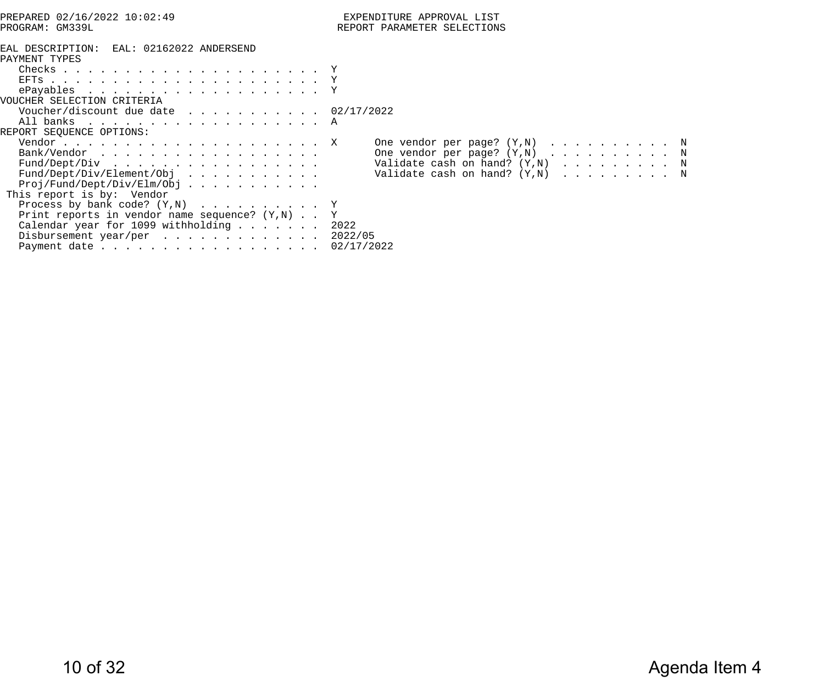| PREPARED 02/16/2022 10:02:49                                                                                                                                                                | EXPENDITURE APPROVAL LIST                                                                                                                                                      |
|---------------------------------------------------------------------------------------------------------------------------------------------------------------------------------------------|--------------------------------------------------------------------------------------------------------------------------------------------------------------------------------|
| PROGRAM: GM339L                                                                                                                                                                             | REPORT PARAMETER SELECTIONS                                                                                                                                                    |
| EAL DESCRIPTION: EAL: 02162022 ANDERSEND<br>PAYMENT TYPES                                                                                                                                   |                                                                                                                                                                                |
|                                                                                                                                                                                             |                                                                                                                                                                                |
| VOUCHER SELECTION CRITERIA<br>Voucher/discount due date 02/17/2022<br>All banks A<br>REPORT SEQUENCE OPTIONS:                                                                               |                                                                                                                                                                                |
| Bank/Vendor<br>$Proj/Fund/Depth/Jiv/Elm/Obj$ .<br>This report is by: Vendor                                                                                                                 | One vendor per page? $(Y, N)$ N<br>One vendor per page? $(Y, N)$ N<br>Fund/Dept/Div Validate cash on hand? (Y,N) N<br>Fund/Dept/Div/Element/Obj Validate cash on hand? (Y,N) N |
| Process by bank code? $(Y, N)$ Y<br>Print reports in vendor name sequence? $(Y,N)$ Y<br>Calendar year for 1099 withholding 2022<br>Disbursement year/per 2022/05<br>Payment date 02/17/2022 |                                                                                                                                                                                |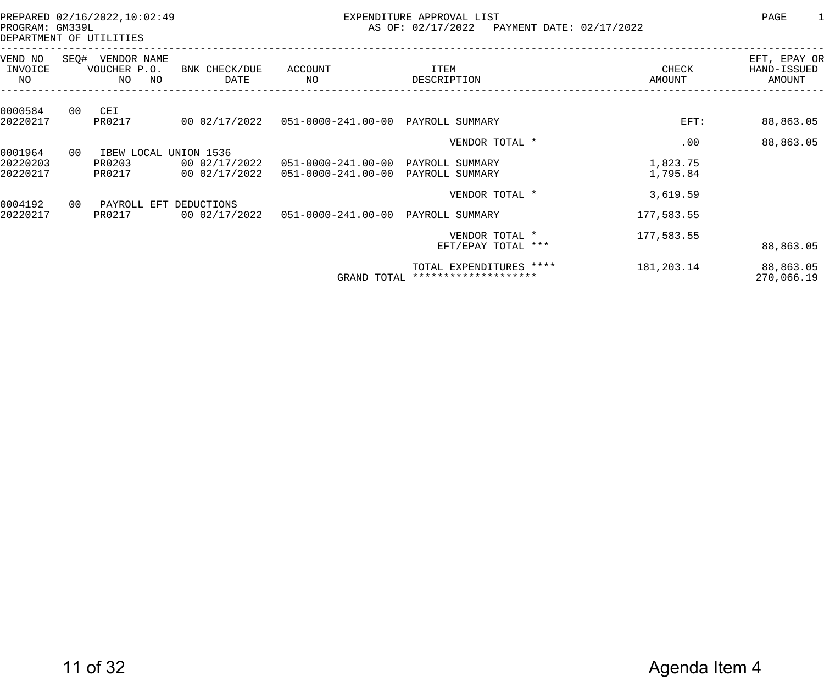PREPARED 02/16/2022,10:02:49 EXPENDITURE APPROVAL LIST PAGE 1 AS OF: 02/17/2022 PAYMENT DATE: 02/17/2022

DEPARTMENT OF UTILITIES

|    | VENDOR NAME<br>ΝO<br>NO. | BNK CHECK/DUE<br>DATE          | ACCOUNT<br>NO                                                       | ITEM<br>DESCRIPTION                             | CHECK<br>AMOUNT                                                                                                                                                             | EFT, EPAY OR<br>HAND-ISSUED<br>AMOUNT    |
|----|--------------------------|--------------------------------|---------------------------------------------------------------------|-------------------------------------------------|-----------------------------------------------------------------------------------------------------------------------------------------------------------------------------|------------------------------------------|
| 00 | CEI                      |                                |                                                                     |                                                 |                                                                                                                                                                             | 88,863.05                                |
|    |                          |                                |                                                                     |                                                 |                                                                                                                                                                             |                                          |
|    |                          |                                |                                                                     |                                                 |                                                                                                                                                                             | 88,863.05                                |
| 00 |                          |                                |                                                                     |                                                 |                                                                                                                                                                             |                                          |
|    | PR0203                   | 00 02/17/2022                  |                                                                     | PAYROLL SUMMARY                                 | 1,823.75                                                                                                                                                                    |                                          |
|    | PR0217                   | 00 02/17/2022                  | $051 - 0000 - 241.00 - 00$                                          | PAYROLL SUMMARY                                 | 1,795.84                                                                                                                                                                    |                                          |
|    |                          |                                |                                                                     |                                                 |                                                                                                                                                                             |                                          |
|    |                          |                                |                                                                     |                                                 |                                                                                                                                                                             |                                          |
|    | PR0217                   | 00 02/17/2022                  |                                                                     |                                                 | 177,583.55                                                                                                                                                                  |                                          |
|    |                          |                                |                                                                     |                                                 |                                                                                                                                                                             |                                          |
|    |                          |                                |                                                                     | EFT/EPAY TOTAL ***                              |                                                                                                                                                                             | 88,863.05                                |
|    |                          |                                |                                                                     | TOTAL EXPENDITURES ****<br>******************** | 181,203.14                                                                                                                                                                  | 88,863.05<br>270,066.19                  |
|    | 00                       | SEQ#<br>VOUCHER P.O.<br>PR0217 | 00 02/17/2022<br>IBEW LOCAL UNION 1536<br>PAYROLL EFT<br>DEDUCTIONS |                                                 | 051-0000-241.00-00 PAYROLL SUMMARY<br>VENDOR TOTAL *<br>$051 - 0000 - 241.00 - 00$<br>VENDOR TOTAL *<br>051-0000-241.00-00 PAYROLL SUMMARY<br>VENDOR TOTAL *<br>GRAND TOTAL | $EFT$ :<br>.00<br>3,619.59<br>177,583.55 |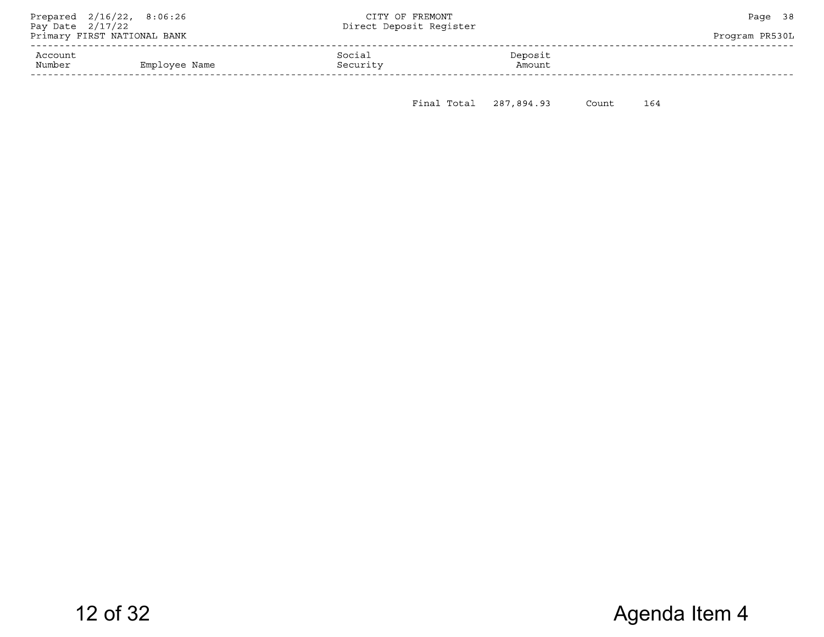|          |        | Program PR530L                     |
|----------|--------|------------------------------------|
|          |        |                                    |
| Security | Amount |                                    |
|          | Social | Direct Deposit Reqister<br>Deposit |

Final Total 287,894.93 Count 164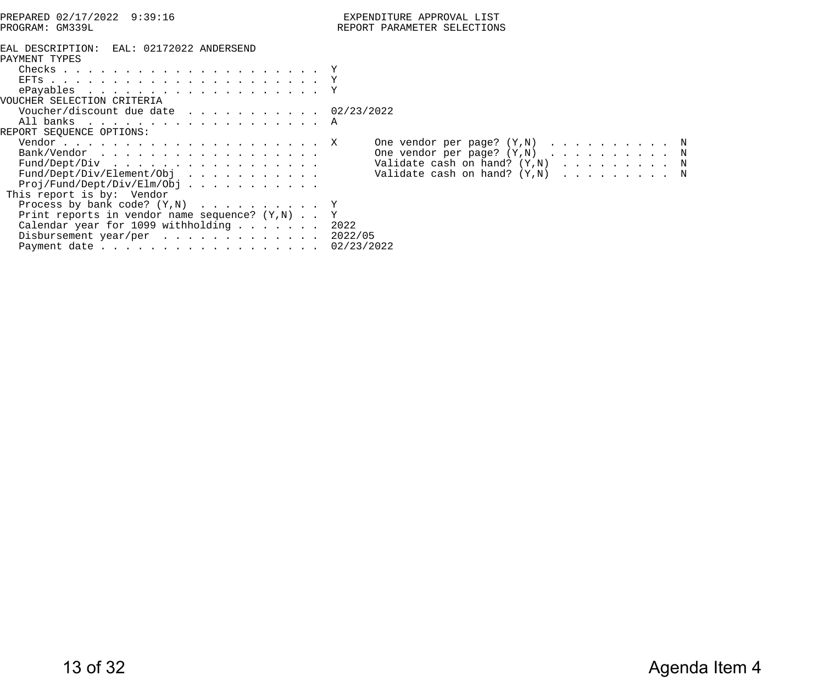| PREPARED 02/17/2022 9:39:16                                                                                                                                                                 | EXPENDITURE APPROVAL LIST                                                                                                                                                     |
|---------------------------------------------------------------------------------------------------------------------------------------------------------------------------------------------|-------------------------------------------------------------------------------------------------------------------------------------------------------------------------------|
| PROGRAM: GM339L                                                                                                                                                                             | REPORT PARAMETER SELECTIONS                                                                                                                                                   |
| EAL DESCRIPTION: EAL: 02172022 ANDERSEND<br>PAYMENT TYPES                                                                                                                                   |                                                                                                                                                                               |
| VOUCHER SELECTION CRITERIA                                                                                                                                                                  |                                                                                                                                                                               |
| Voucher/discount due date 02/23/2022<br>All banks A<br>REPORT SEQUENCE OPTIONS:                                                                                                             |                                                                                                                                                                               |
| Bank/Vendor<br>$Proj/Fund/Depth/Jiv/Elm/Obj$ .<br>This report is by: Vendor                                                                                                                 | One vendor per page? $(Y, N)$ N<br>One vendor per page? $(Y,N)$ N<br>Fund/Dept/Div Validate cash on hand? (Y,N) N<br>Fund/Dept/Div/Element/Obj Validate cash on hand? (Y,N) N |
| Process by bank code? $(Y, N)$ Y<br>Print reports in vendor name sequence? $(Y,N)$ Y<br>Calendar year for 1099 withholding 2022<br>Disbursement year/per 2022/05<br>Payment date 02/23/2022 |                                                                                                                                                                               |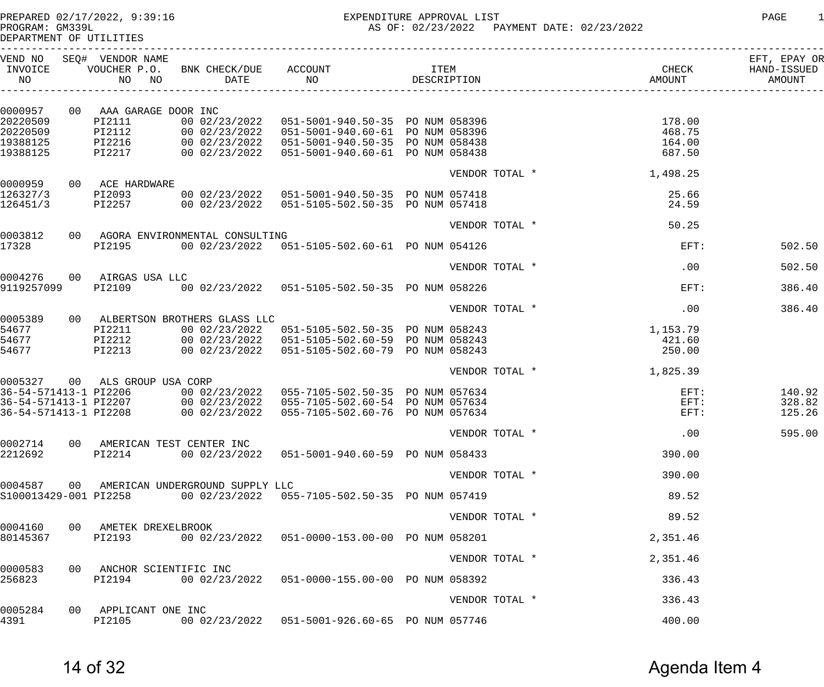PREPARED 02/17/2022, 9:39:16 EXPENDITURE APPROVAL LIST PAGE 1 AS OF: 02/23/2022 PAYMENT DATE: 02/23/2022

DEPARTMENT OF UTILITIES ------------------------------------------------------------------------------------------------------------------------------------ VEND NO SEQ# VENDOR NAME EFT, EPAY OR INVOICE VOUCHER P.O. BNK CHECK/DUE ACCOUNT ITEM CHECK HAND-ISSUED NO NO NO DATE NO DESCRIPTION AMOUNT AMOUNT

| 0000957               | 00 AAA GARAGE DOOR INC                |                                    |                                                    |                |  |          |        |
|-----------------------|---------------------------------------|------------------------------------|----------------------------------------------------|----------------|--|----------|--------|
| 20220509              | PI2111                                |                                    | 00 02/23/2022  051-5001-940.50-35  PO NUM 058396   |                |  | 178.00   |        |
| 20220509              | PI2112                                |                                    | 00 02/23/2022  051-5001-940.60-61  PO NUM 058396   |                |  | 468.75   |        |
| 19388125              | PI2216                                |                                    | 00 02/23/2022  051-5001-940.50-35  PO NUM 058438   |                |  | 164.00   |        |
| 19388125              | PI2217                                |                                    | 00 02/23/2022  051-5001-940.60-61  PO NUM 058438   |                |  | 687.50   |        |
|                       |                                       |                                    |                                                    |                |  |          |        |
| 0000959               | 00 ACE HARDWARE                       |                                    |                                                    | VENDOR TOTAL * |  | 1,498.25 |        |
| 126327/3              | PI2093                                |                                    | 00 02/23/2022  051-5001-940.50-35  PO NUM 057418   |                |  | 25.66    |        |
| 126451/3              | PI2257                                |                                    | 00 02/23/2022  051-5105-502.50-35  PO NUM 057418   |                |  | 24.59    |        |
|                       |                                       |                                    |                                                    |                |  |          |        |
| 0003812               |                                       | 00 AGORA ENVIRONMENTAL CONSULTING  |                                                    | VENDOR TOTAL * |  | 50.25    |        |
| 17328                 | PI2195                                |                                    | 00 02/23/2022  051-5105-502.60-61  PO NUM 054126   |                |  | $EFT$ :  | 502.50 |
|                       |                                       |                                    |                                                    |                |  |          |        |
| 0004276               | 00 AIRGAS USA LLC                     |                                    |                                                    | VENDOR TOTAL * |  | .00      | 502.50 |
| 9119257099            | PI2109                                |                                    | 00 02/23/2022  051-5105-502.50-35  PO NUM 058226   |                |  | EFT:     | 386.40 |
|                       |                                       |                                    |                                                    |                |  |          |        |
| 0005389               |                                       | 00 ALBERTSON BROTHERS GLASS LLC    |                                                    | VENDOR TOTAL * |  | .00      | 386.40 |
| 54677                 | PI2211                                |                                    | 00 02/23/2022  051-5105-502.50-35  PO  NUM  058243 |                |  | 1,153.79 |        |
| 54677                 | PI2212                                |                                    | 00 02/23/2022  051-5105-502.60-59  PO NUM 058243   |                |  | 421.60   |        |
| 54677                 | PI2213                                |                                    | 00 02/23/2022  051-5105-502.60-79  PO NUM 058243   |                |  | 250.00   |        |
|                       |                                       |                                    |                                                    |                |  |          |        |
|                       | 0005327 00 ALS GROUP USA CORP         |                                    |                                                    | VENDOR TOTAL * |  | 1,825.39 |        |
|                       | 36-54-571413-1 PI2206                 |                                    | 00 02/23/2022  055-7105-502.50-35  PO NUM 057634   |                |  | $EFT$ :  | 140.92 |
| 36-54-571413-1 PI2207 |                                       |                                    | 00 02/23/2022  055-7105-502.60-54  PO NUM 057634   |                |  | $EFT$ :  | 328.82 |
| 36-54-571413-1 PI2208 |                                       |                                    | 00 02/23/2022  055-7105-502.60-76  PO NUM 057634   |                |  | EFT:     | 125.26 |
|                       |                                       |                                    |                                                    |                |  |          |        |
|                       |                                       |                                    |                                                    | VENDOR TOTAL * |  | .00      | 595.00 |
| 0002714<br>2212692    | 00 AMERICAN TEST CENTER INC<br>PI2214 | 00 02/23/2022                      | 051-5001-940.60-59 PO NUM 058433                   |                |  | 390.00   |        |
|                       |                                       |                                    |                                                    |                |  |          |        |
| 0004587               |                                       |                                    |                                                    | VENDOR TOTAL * |  | 390.00   |        |
| S100013429-001 PI2258 |                                       | 00 AMERICAN UNDERGROUND SUPPLY LLC | 00 02/23/2022  055-7105-502.50-35  PO NUM 057419   |                |  | 89.52    |        |
|                       |                                       |                                    |                                                    |                |  |          |        |
|                       |                                       |                                    |                                                    | VENDOR TOTAL * |  | 89.52    |        |
| 0004160               | 00 AMETEK DREXELBROOK                 |                                    |                                                    |                |  |          |        |
| 80145367              | PI2193                                |                                    | 00 02/23/2022  051-0000-153.00-00  PO NUM 058201   |                |  | 2,351.46 |        |
|                       |                                       |                                    |                                                    | VENDOR TOTAL * |  | 2,351.46 |        |
| 0000583               | 00 ANCHOR SCIENTIFIC INC              |                                    |                                                    |                |  |          |        |
| 256823                | PI2194                                |                                    | 00 02/23/2022  051-0000-155.00-00  PO NUM 058392   |                |  | 336.43   |        |
|                       |                                       |                                    |                                                    | VENDOR TOTAL * |  | 336.43   |        |
| 0005284               | 00 APPLICANT ONE INC                  |                                    |                                                    |                |  |          |        |
| 4391                  | PI2105                                |                                    | 00 02/23/2022  051-5001-926.60-65  PO NUM 057746   |                |  | 400.00   |        |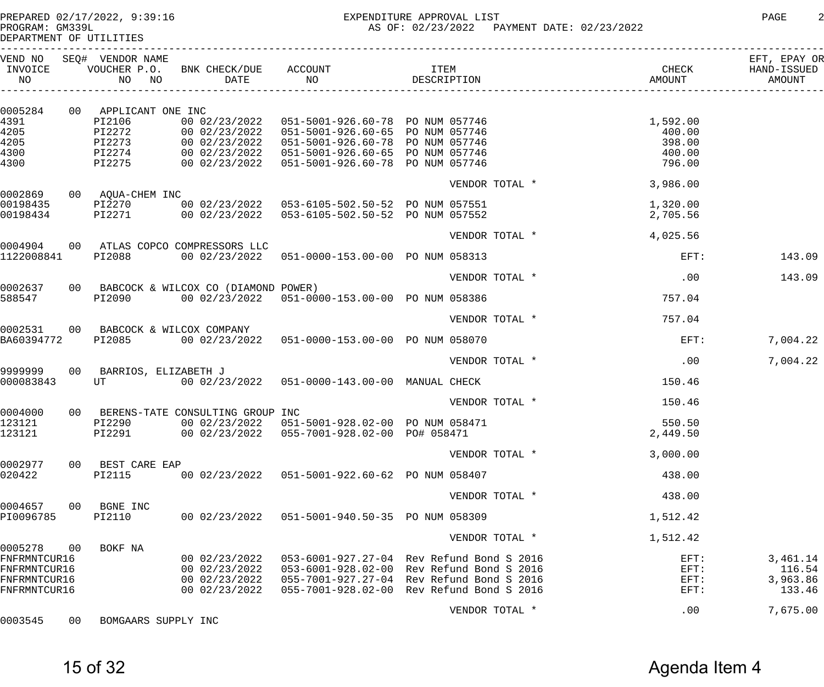------------------------------------------------------------------------------------------------------------------------------------

DEPARTMENT OF UTILITIES

| VEND NO<br>INVOICE<br>NO     |    | SEQ# VENDOR NAME<br>VOUCHER P.O.<br>NO NO | BNK CHECK/DUE<br>DATE                  | ACCOUNT<br>NO                                    | ITEM<br>DESCRIPTION                                                 | CHECK<br>AMOUNT | EFT, EPAY OR<br>HAND-ISSUED<br>AMOUNT |
|------------------------------|----|-------------------------------------------|----------------------------------------|--------------------------------------------------|---------------------------------------------------------------------|-----------------|---------------------------------------|
| 0005284                      |    | 00 APPLICANT ONE INC                      |                                        |                                                  |                                                                     |                 |                                       |
| 4391                         |    | PI2106                                    | 00 02/23/2022                          | 051-5001-926.60-78 PO NUM 057746                 |                                                                     | 1,592.00        |                                       |
| 4205                         |    | PI2272                                    | 00 02/23/2022                          | 051-5001-926.60-65 PO NUM 057746                 |                                                                     | 400.00          |                                       |
| 4205                         |    | PI2273                                    | 00 02/23/2022                          | 051-5001-926.60-78 PO NUM 057746                 |                                                                     | 398.00          |                                       |
| 4300                         |    | PI2274                                    |                                        | 00 02/23/2022  051-5001-926.60-65  PO NUM 057746 |                                                                     | 400.00          |                                       |
| 4300                         |    | PI2275                                    |                                        | 00 02/23/2022  051-5001-926.60-78  PO NUM 057746 |                                                                     | 796.00          |                                       |
|                              |    |                                           |                                        |                                                  | VENDOR TOTAL *                                                      | 3,986.00        |                                       |
| 0002869                      |    | 00 AQUA-CHEM INC                          |                                        |                                                  |                                                                     |                 |                                       |
| 00198435                     |    | PI2270                                    |                                        | 00 02/23/2022  053-6105-502.50-52  PO NUM 057551 |                                                                     | 1,320.00        |                                       |
| 00198434                     |    | PI2271                                    |                                        | 00 02/23/2022  053-6105-502.50-52  PO NUM 057552 |                                                                     | 2,705.56        |                                       |
|                              |    |                                           |                                        |                                                  | VENDOR TOTAL *                                                      | 4,025.56        |                                       |
| 0004904<br>1122008841        |    | PI2088                                    | 00 ATLAS COPCO COMPRESSORS LLC         | 00 02/23/2022  051-0000-153.00-00  PO NUM 058313 |                                                                     | $EFT$ :         | 143.09                                |
|                              |    |                                           |                                        |                                                  |                                                                     |                 |                                       |
|                              |    |                                           |                                        |                                                  | VENDOR TOTAL *                                                      | .00             | 143.09                                |
| 0002637                      |    |                                           | 00 BABCOCK & WILCOX CO (DIAMOND POWER) |                                                  |                                                                     |                 |                                       |
| 588547                       |    | PI2090                                    |                                        | 00 02/23/2022  051-0000-153.00-00  PO NUM 058386 |                                                                     | 757.04          |                                       |
|                              |    |                                           |                                        |                                                  | VENDOR TOTAL *                                                      | 757.04          |                                       |
| 0002531                      |    | 00 BABCOCK & WILCOX COMPANY               |                                        |                                                  |                                                                     |                 |                                       |
| BA60394772                   |    | PI2085                                    |                                        | 00 02/23/2022  051-0000-153.00-00  PO NUM 058070 |                                                                     | $EFT$ :         | 7,004.22                              |
|                              |    |                                           |                                        |                                                  | VENDOR TOTAL *                                                      | .00             | 7,004.22                              |
| 9999999                      |    | 00 BARRIOS, ELIZABETH J                   |                                        |                                                  |                                                                     |                 |                                       |
| 000083843                    |    | UT                                        |                                        | 00 02/23/2022  051-0000-143.00-00  MANUAL CHECK  |                                                                     | 150.46          |                                       |
|                              |    |                                           |                                        |                                                  | VENDOR TOTAL *                                                      | 150.46          |                                       |
| 0004000                      |    |                                           | 00 BERENS-TATE CONSULTING GROUP INC    |                                                  |                                                                     |                 |                                       |
| 123121                       |    | PI2290                                    |                                        | 00 02/23/2022  051-5001-928.02-00  PO NUM 058471 |                                                                     | 550.50          |                                       |
| 123121                       |    | PI2291                                    |                                        | 00 02/23/2022  055-7001-928.02-00  PO# 058471    |                                                                     | 2,449.50        |                                       |
|                              |    |                                           |                                        |                                                  | VENDOR TOTAL *                                                      | 3,000.00        |                                       |
| 0002977                      | 00 | BEST CARE EAP                             |                                        |                                                  |                                                                     |                 |                                       |
| 020422                       |    | PI2115                                    | 00 02/23/2022                          | 051-5001-922.60-62 PO NUM 058407                 |                                                                     | 438.00          |                                       |
|                              |    |                                           |                                        |                                                  | VENDOR TOTAL *                                                      | 438.00          |                                       |
| 0004657                      | 00 | BGNE INC                                  |                                        |                                                  |                                                                     |                 |                                       |
| PI0096785                    |    | PI2110                                    | 00 02/23/2022                          | 051-5001-940.50-35 PO NUM 058309                 |                                                                     | 1,512.42        |                                       |
|                              |    |                                           |                                        |                                                  | VENDOR TOTAL *                                                      | 1,512.42        |                                       |
| 0005278                      | 00 | BOKF NA                                   |                                        |                                                  |                                                                     |                 |                                       |
| FNFRMNTCUR16                 |    |                                           | 00 02/23/2022                          |                                                  | 053-6001-927.27-04 Rev Refund Bond S 2016                           | $EFT$ :         | 3,461.14                              |
| FNFRMNTCUR16                 |    |                                           | 00 02/23/2022                          |                                                  | 053-6001-928.02-00 Rev Refund Bond S 2016                           | $EFT$ :         | 116.54                                |
| FNFRMNTCUR16<br>FNFRMNTCUR16 |    |                                           | 00 02/23/2022<br>00 02/23/2022         | 055-7001-928.02-00                               | 055-7001-927.27-04 Rev Refund Bond S 2016<br>Rev Refund Bond S 2016 | $EFT$ :<br>EFT: | 3,963.86<br>133.46                    |
|                              |    |                                           |                                        |                                                  |                                                                     |                 |                                       |
|                              |    |                                           |                                        |                                                  | VENDOR TOTAL *                                                      | .00             | 7,675.00                              |
| 0003545                      | 00 | BOMGAARS SUPPLY INC                       |                                        |                                                  |                                                                     |                 |                                       |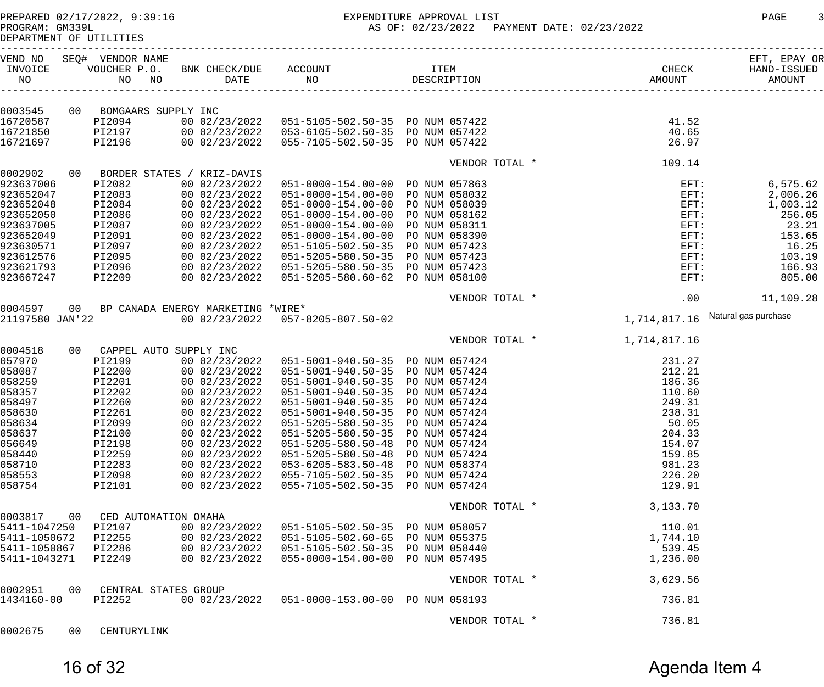# PREPARED 02/17/2022, 9:39:16 EXPENDITURE APPROVAL LIST PAGE 3

AS OF: 02/23/2022 PAYMENT DATE: 02/23/2022

DEPARTMENT OF UTILITIES

| VEND NO<br>INVOICE<br>NO |    | SEQ# VENDOR NAME<br>VOUCHER P.O.<br>NO<br>NO | BNK CHECK/DUE<br>DATE                          | ACCOUNT<br>NO                                    | <b>ITEM</b><br>DESCRIPTION |                | CHECK<br>AMOUNT | EFT, EPAY OR<br>HAND-ISSUED<br>AMOUNT |
|--------------------------|----|----------------------------------------------|------------------------------------------------|--------------------------------------------------|----------------------------|----------------|-----------------|---------------------------------------|
|                          |    |                                              |                                                |                                                  |                            |                |                 |                                       |
| 0003545                  |    | 00 BOMGAARS SUPPLY INC                       |                                                |                                                  |                            |                |                 |                                       |
| 16720587                 |    | PI2094                                       | 00 02/23/2022                                  | 051-5105-502.50-35 PO NUM 057422                 |                            |                | 41.52           |                                       |
| 16721850                 |    | PI2197                                       |                                                | 00 02/23/2022  053-6105-502.50-35  PO NUM 057422 |                            |                | 40.65           |                                       |
| 16721697                 |    | PI2196                                       | 00 02/23/2022                                  | 055-7105-502.50-35 PO NUM 057422                 |                            |                | 26.97           |                                       |
|                          |    |                                              |                                                |                                                  |                            |                |                 |                                       |
| 0002902                  |    |                                              |                                                |                                                  |                            | VENDOR TOTAL * | 109.14          |                                       |
| 923637006                |    | PI2082                                       | 00 BORDER STATES / KRIZ-DAVIS<br>00 02/23/2022 |                                                  |                            |                |                 |                                       |
|                          |    |                                              |                                                | 051-0000-154.00-00 PO NUM 057863                 |                            |                | $EFT$ :         | 6,575.62                              |
| 923652047                |    | PI2083                                       | 00 02/23/2022                                  | 051-0000-154.00-00 PO NUM 058032                 |                            |                | $EFT$ :         | 2,006.26                              |
| 923652048                |    | PI2084                                       | 00 02/23/2022                                  | 051-0000-154.00-00 PO NUM 058039                 |                            |                | $EFT$ :         | 1,003.12                              |
| 923652050                |    | PI2086                                       | 00 02/23/2022                                  | 051-0000-154.00-00 PO NUM 058162                 |                            |                | $EFT$ :         | 256.05                                |
| 923637005                |    | PI2087                                       | 00 02/23/2022                                  | 051-0000-154.00-00 PO NUM 058311                 |                            |                | $EFT$ :         | 23.21                                 |
| 923652049                |    | PI2091                                       | 00 02/23/2022                                  | 051-0000-154.00-00 PO NUM 058390                 |                            |                | $EFT$ :         | 153.65                                |
| 923630571                |    | PI2097                                       | 00 02/23/2022                                  | 051-5105-502.50-35 PO NUM 057423                 |                            |                | $EFT$ :         | 16.25                                 |
| 923612576                |    | PI2095                                       | 00 02/23/2022                                  | 051-5205-580.50-35 PO NUM 057423                 |                            |                | $EFT$ :         | 103.19                                |
| 923621793                |    | PI2096                                       | 00 02/23/2022                                  | 051-5205-580.50-35 PO NUM 057423                 |                            |                | $EFT$ :         | 166.93                                |
| 923667247                |    | PI2209                                       | 00 02/23/2022                                  | 051-5205-580.60-62 PO NUM 058100                 |                            |                | $EFT$ :         | 805.00                                |
|                          |    |                                              |                                                |                                                  |                            |                |                 |                                       |
| 0004597                  |    |                                              | 00 BP CANADA ENERGY MARKETING *WIRE*           |                                                  |                            | VENDOR TOTAL * |                 | .00<br>11,109.28                      |
| 21197580 JAN'22          |    |                                              |                                                | 00 02/23/2022 057-8205-807.50-02                 |                            |                | 1,714,817.16    | Natural gas purchase                  |
|                          |    |                                              |                                                |                                                  |                            | VENDOR TOTAL * | 1,714,817.16    |                                       |
| 0004518                  |    | 00 CAPPEL AUTO SUPPLY INC                    |                                                |                                                  |                            |                |                 |                                       |
| 057970                   |    | PI2199                                       | 00 02/23/2022                                  | 051-5001-940.50-35 PO NUM 057424                 |                            |                | 231.27          |                                       |
| 058087                   |    | PI2200                                       | 00 02/23/2022                                  | 051-5001-940.50-35 PO NUM 057424                 |                            |                | 212.21          |                                       |
| 058259                   |    | PI2201                                       | 00 02/23/2022                                  | 051-5001-940.50-35 PO NUM 057424                 |                            |                | 186.36          |                                       |
|                          |    |                                              |                                                |                                                  |                            |                |                 |                                       |
| 058357                   |    | PI2202                                       | 00 02/23/2022                                  | 051-5001-940.50-35 PO NUM 057424                 |                            |                | 110.60          |                                       |
| 058497                   |    | PI2260                                       | 00 02/23/2022                                  | 051-5001-940.50-35 PO NUM 057424                 |                            |                | 249.31          |                                       |
| 058630                   |    | PI2261                                       | 00 02/23/2022                                  | 051-5001-940.50-35 PO NUM 057424                 |                            |                | 238.31          |                                       |
| 058634                   |    | PI2099                                       | 00 02/23/2022                                  | 051-5205-580.50-35 PO NUM 057424                 |                            |                | 50.05           |                                       |
| 058637                   |    | PI2100                                       | 00 02/23/2022                                  | 051-5205-580.50-35 PO NUM 057424                 |                            |                | 204.33          |                                       |
| 056649                   |    | PI2198                                       | 00 02/23/2022                                  | 051-5205-580.50-48 PO NUM 057424                 |                            |                | 154.07          |                                       |
| 058440                   |    | PI2259                                       | 00 02/23/2022                                  | 051-5205-580.50-48 PO NUM 057424                 |                            |                | 159.85          |                                       |
| 058710                   |    | PI2283                                       | 00 02/23/2022                                  | 053-6205-583.50-48 PO NUM 058374                 |                            |                | 981.23          |                                       |
| 058553                   |    | PI2098                                       |                                                | 00 02/23/2022  055-7105-502.50-35  PO NUM 057424 |                            |                | 226.20          |                                       |
| 058754                   |    | PI2101                                       | 00 02/23/2022                                  | 055-7105-502.50-35 PO NUM 057424                 |                            |                | 129.91          |                                       |
|                          |    |                                              |                                                |                                                  |                            |                |                 |                                       |
| 0003817                  |    | 00 CED AUTOMATION OMAHA                      |                                                |                                                  |                            | VENDOR TOTAL * | 3,133.70        |                                       |
|                          |    | PI2107                                       |                                                |                                                  |                            |                |                 |                                       |
| 5411-1047250             |    |                                              | 00 02/23/2022                                  | 051-5105-502.50-35 PO NUM 058057                 |                            |                | 110.01          |                                       |
| 5411-1050672             |    | PI2255                                       | 00 02/23/2022                                  | 051-5105-502.60-65 PO NUM 055375                 |                            |                | 1,744.10        |                                       |
| 5411-1050867             |    | PI2286                                       |                                                | 00 02/23/2022  051-5105-502.50-35  PO NUM 058440 |                            |                | 539.45          |                                       |
| 5411-1043271             |    | PI2249                                       | 00 02/23/2022                                  | 055-0000-154.00-00 PO NUM 057495                 |                            |                | 1,236.00        |                                       |
|                          |    |                                              |                                                |                                                  |                            | VENDOR TOTAL * | 3,629.56        |                                       |
| 0002951                  |    | 00 CENTRAL STATES GROUP                      |                                                |                                                  |                            |                |                 |                                       |
| 1434160-00               |    | PI2252                                       | 00 02/23/2022                                  | 051-0000-153.00-00 PO NUM 058193                 |                            |                | 736.81          |                                       |
|                          |    |                                              |                                                |                                                  |                            |                |                 |                                       |
| 0002675                  | 00 | CENTURYLINK                                  |                                                |                                                  |                            | VENDOR TOTAL * | 736.81          |                                       |
|                          |    |                                              |                                                |                                                  |                            |                |                 |                                       |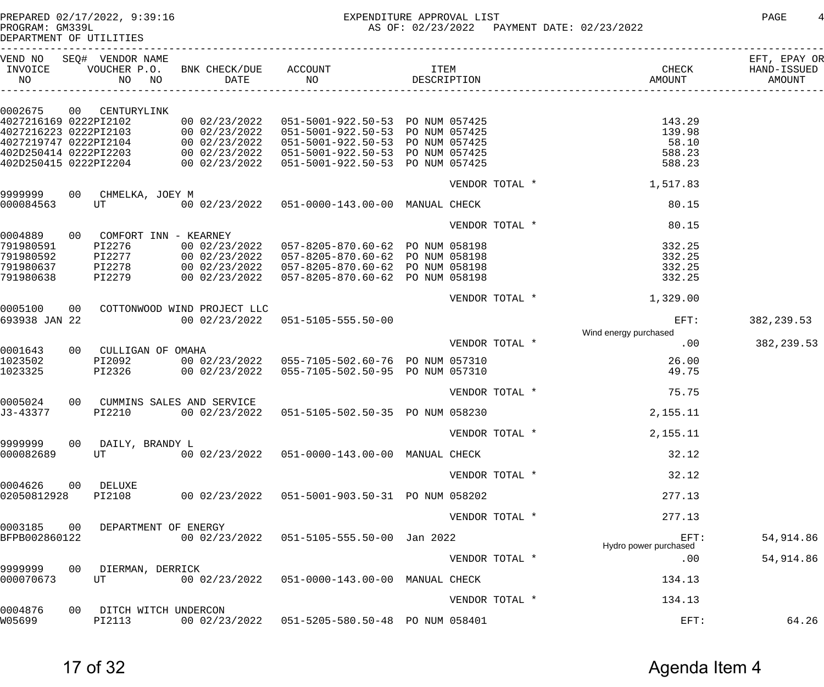PREPARED 02/17/2022, 9:39:16 EXPENDITURE APPROVAL LIST PAGE 4 AS OF: 02/23/2022 PAYMENT DATE: 02/23/2022

| IPROGRAM • GMSSSH |  |                         |
|-------------------|--|-------------------------|
|                   |  | DEPARTMENT OF UTILITIES |

| INVOICE<br>NO          | VEND NO SEQ# VENDOR NAME         |                                                                                                                                                                                                                                  |                | CHECK                                                                                                                                                                                                                                   | EFT, EPAY OR<br>HAND-ISSUED<br>AMOUNT |
|------------------------|----------------------------------|----------------------------------------------------------------------------------------------------------------------------------------------------------------------------------------------------------------------------------|----------------|-----------------------------------------------------------------------------------------------------------------------------------------------------------------------------------------------------------------------------------------|---------------------------------------|
|                        |                                  |                                                                                                                                                                                                                                  |                |                                                                                                                                                                                                                                         |                                       |
|                        | 0002675 00 CENTURYLINK           |                                                                                                                                                                                                                                  |                |                                                                                                                                                                                                                                         |                                       |
|                        |                                  |                                                                                                                                                                                                                                  |                | 4027216169 0222PI2102 00 02/23/2022 051-5001-922.50-53 PO NUM 057425<br>4027216223 0222PI2103 00 02/23/2022 051-5001-922.50-53 PO NUM 057425 139.98<br>4027219747 0222PI2104 00 02/23/2022 051-5001-922.50-53 PO NUM 057425 58.10<br>40 |                                       |
|                        |                                  |                                                                                                                                                                                                                                  |                |                                                                                                                                                                                                                                         |                                       |
|                        |                                  |                                                                                                                                                                                                                                  |                |                                                                                                                                                                                                                                         |                                       |
|                        |                                  |                                                                                                                                                                                                                                  |                |                                                                                                                                                                                                                                         |                                       |
|                        |                                  |                                                                                                                                                                                                                                  |                |                                                                                                                                                                                                                                         |                                       |
|                        |                                  |                                                                                                                                                                                                                                  |                | VENDOR TOTAL * 1,517.83                                                                                                                                                                                                                 |                                       |
|                        | 9999999 00 CHMELKA, JOEY M       |                                                                                                                                                                                                                                  |                |                                                                                                                                                                                                                                         |                                       |
| 000084563              | UT                               | 00 02/23/2022  051-0000-143.00-00 MANUAL CHECK                                                                                                                                                                                   |                | 80.15                                                                                                                                                                                                                                   |                                       |
|                        |                                  |                                                                                                                                                                                                                                  |                | VENDOR TOTAL *<br>80.15                                                                                                                                                                                                                 |                                       |
|                        | 0004889 00 COMFORT INN - KEARNEY |                                                                                                                                                                                                                                  |                |                                                                                                                                                                                                                                         |                                       |
| 791980591<br>791980592 |                                  | PI2276 00 02/23/2022 057-8205-870.60-62 PO NUM 058198<br>PI2277 00 02/23/2022 057-8205-870.60-62 PO NUM 058198<br>PI2278 00 02/23/2022 057-8205-870.60-62 PO NUM 058198<br>PI2279 00 02/23/2022 057-8205-870.60-62 PO NUM 058198 |                | 332.25<br>332.25                                                                                                                                                                                                                        |                                       |
| 791980637              |                                  |                                                                                                                                                                                                                                  |                | 332.25                                                                                                                                                                                                                                  |                                       |
| 791980638              |                                  |                                                                                                                                                                                                                                  |                | 332.25                                                                                                                                                                                                                                  |                                       |
|                        |                                  |                                                                                                                                                                                                                                  |                |                                                                                                                                                                                                                                         |                                       |
|                        |                                  |                                                                                                                                                                                                                                  |                | VENDOR TOTAL * 1,329.00                                                                                                                                                                                                                 |                                       |
| 0005100                | 00 COTTONWOOD WIND PROJECT LLC   |                                                                                                                                                                                                                                  |                |                                                                                                                                                                                                                                         |                                       |
| 693938 JAN 22          |                                  | 00 02/23/2022  051-5105-555.50-00                                                                                                                                                                                                |                | EFT:<br>Wind energy purchased                                                                                                                                                                                                           | 382, 239.53                           |
|                        |                                  |                                                                                                                                                                                                                                  | VENDOR TOTAL * | .00                                                                                                                                                                                                                                     | 382, 239.53                           |
| 0001643                | 00 CULLIGAN OF OMAHA             |                                                                                                                                                                                                                                  |                |                                                                                                                                                                                                                                         |                                       |
| 1023502                |                                  | PI2092 00 02/23/2022 055-7105-502.60-76 PO NUM 057310                                                                                                                                                                            |                | 26.00                                                                                                                                                                                                                                   |                                       |
| 1023325                |                                  | PI2326 00 02/23/2022 055-7105-502.50-95 PO NUM 057310                                                                                                                                                                            |                | 49.75                                                                                                                                                                                                                                   |                                       |
|                        |                                  |                                                                                                                                                                                                                                  |                | VENDOR TOTAL *<br>75.75                                                                                                                                                                                                                 |                                       |
| 0005024                | 00 CUMMINS SALES AND SERVICE     |                                                                                                                                                                                                                                  |                |                                                                                                                                                                                                                                         |                                       |
| J3-43377               | PI2210                           | 00 02/23/2022  051-5105-502.50-35  PO NUM 058230                                                                                                                                                                                 |                | 2,155.11                                                                                                                                                                                                                                |                                       |
|                        |                                  |                                                                                                                                                                                                                                  |                | 2,155.11<br>VENDOR TOTAL *                                                                                                                                                                                                              |                                       |
| 9999999                | 00 DAILY, BRANDY L               |                                                                                                                                                                                                                                  |                |                                                                                                                                                                                                                                         |                                       |
| 000082689              | UT                               | 00 02/23/2022  051-0000-143.00-00  MANUAL CHECK                                                                                                                                                                                  |                | 32.12                                                                                                                                                                                                                                   |                                       |
|                        |                                  |                                                                                                                                                                                                                                  | VENDOR TOTAL * | 32.12                                                                                                                                                                                                                                   |                                       |
| 0004626                | 00 DELUXE                        |                                                                                                                                                                                                                                  |                |                                                                                                                                                                                                                                         |                                       |
| 02050812928            | PI2108                           | 00 02/23/2022  051-5001-903.50-31  PO NUM 058202                                                                                                                                                                                 |                | 277.13                                                                                                                                                                                                                                  |                                       |
|                        |                                  |                                                                                                                                                                                                                                  | VENDOR TOTAL * | 277.13                                                                                                                                                                                                                                  |                                       |
| 0003185<br>00          | DEPARTMENT OF ENERGY             |                                                                                                                                                                                                                                  |                |                                                                                                                                                                                                                                         |                                       |
| BFPB002860122          |                                  | 00 02/23/2022  051-5105-555.50-00  Jan 2022                                                                                                                                                                                      |                | EFT:<br>Hydro power purchased                                                                                                                                                                                                           | 54,914.86                             |
|                        |                                  |                                                                                                                                                                                                                                  | VENDOR TOTAL * | .00                                                                                                                                                                                                                                     | 54,914.86                             |
| 9999999                | 00<br>DIERMAN, DERRICK           |                                                                                                                                                                                                                                  |                |                                                                                                                                                                                                                                         |                                       |
| 000070673              | UT                               | 00 02/23/2022  051-0000-143.00-00  MANUAL CHECK                                                                                                                                                                                  |                | 134.13                                                                                                                                                                                                                                  |                                       |
|                        |                                  |                                                                                                                                                                                                                                  | VENDOR TOTAL * | 134.13                                                                                                                                                                                                                                  |                                       |
| 0004876                | 00<br>DITCH WITCH UNDERCON       |                                                                                                                                                                                                                                  |                |                                                                                                                                                                                                                                         |                                       |
| W05699                 | PI2113                           | 00 02/23/2022  051-5205-580.50-48  PO NUM 058401                                                                                                                                                                                 |                | EFT:                                                                                                                                                                                                                                    | 64.26                                 |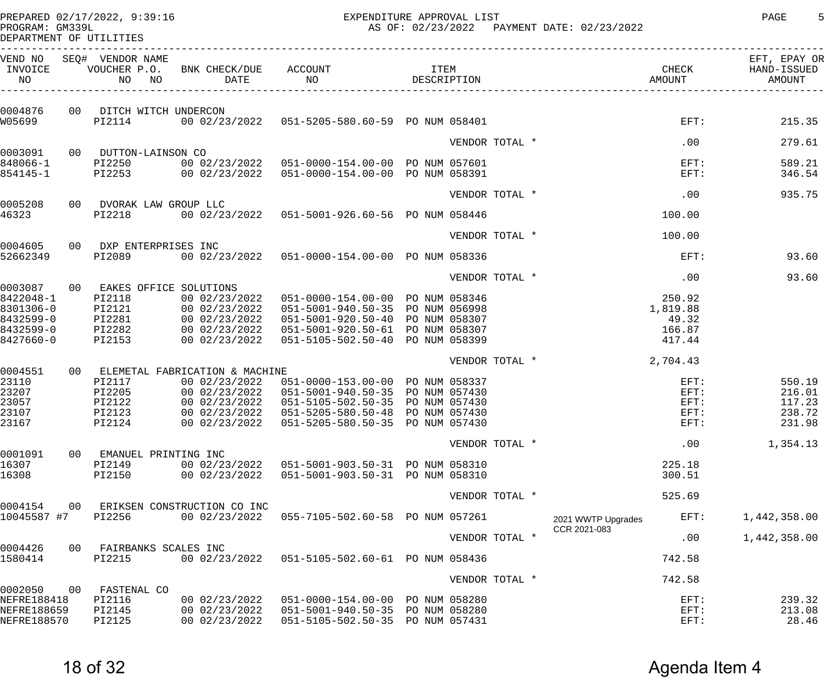PREPARED 02/17/2022, 9:39:16 EXPENDITURE APPROVAL LIST PAGE 5

AS OF: 02/23/2022 PAYMENT DATE: 02/23/2022

| PROGRAM: GM33YL         |  |
|-------------------------|--|
| DEPARTMENT OF UTILITIES |  |

| VEND NO<br>INVOICE<br>NO |    | SEQ# VENDOR NAME<br>VOUCHER P.O.<br>NO<br>NO | BNK CHECK/DUE<br>DATE                        | ACCOUNT<br>NO                                    | <b>ITEM</b><br>DESCRIPTION |                |  |                    | CHECK<br>AMOUNT | EFT, EPAY OR<br>HAND-ISSUED<br>AMOUNT |
|--------------------------|----|----------------------------------------------|----------------------------------------------|--------------------------------------------------|----------------------------|----------------|--|--------------------|-----------------|---------------------------------------|
| 0004876                  |    | 00 DITCH WITCH UNDERCON                      |                                              |                                                  |                            |                |  |                    |                 |                                       |
| W05699                   |    | PI2114                                       |                                              | 00 02/23/2022  051-5205-580.60-59  PO NUM 058401 |                            |                |  |                    | $EFT$ :         | 215.35                                |
|                          |    |                                              |                                              |                                                  |                            | VENDOR TOTAL * |  |                    | .00             | 279.61                                |
| 0003091<br>848066-1      |    | 00 DUTTON-LAINSON CO<br>PI2250               |                                              | 00 02/23/2022  051-0000-154.00-00  PO NUM 057601 |                            |                |  |                    | EFT:            | 589.21                                |
| 854145-1                 |    | PI2253                                       |                                              | 00 02/23/2022  051-0000-154.00-00  PO NUM 058391 |                            |                |  |                    | EFT:            | 346.54                                |
|                          |    |                                              |                                              |                                                  |                            | VENDOR TOTAL * |  |                    | .00             | 935.75                                |
| 0005208<br>46323         |    | 00 DVORAK LAW GROUP LLC<br>PI2218            |                                              | 00 02/23/2022  051-5001-926.60-56  PO NUM 058446 |                            |                |  |                    | 100.00          |                                       |
|                          |    |                                              |                                              |                                                  |                            | VENDOR TOTAL * |  |                    | 100.00          |                                       |
| 0004605                  |    | 00 DXP ENTERPRISES INC                       |                                              |                                                  |                            |                |  |                    |                 |                                       |
| 52662349                 |    | PI2089                                       |                                              | 00 02/23/2022  051-0000-154.00-00  PO NUM 058336 |                            |                |  |                    | EFT:            | 93.60                                 |
| 0003087                  |    |                                              |                                              |                                                  |                            | VENDOR TOTAL * |  |                    | .00             | 93.60                                 |
| 8422048-1                |    | 00 EAKES OFFICE SOLUTIONS<br>PI2118          | 00 02/23/2022                                | 051-0000-154.00-00 PO NUM 058346                 |                            |                |  |                    | 250.92          |                                       |
| 8301306-0                |    | PI2121                                       | 00 02/23/2022                                | 051-5001-940.50-35 PO NUM 056998                 |                            |                |  |                    | 1,819.88        |                                       |
| 8432599-0                |    | PI2281                                       | 00 02/23/2022                                | 051-5001-920.50-40 PO NUM 058307                 |                            |                |  |                    | 49.32           |                                       |
| 8432599-0                |    | PI2282                                       | 00 02/23/2022                                | 051-5001-920.50-61 PO NUM 058307                 |                            |                |  |                    | 166.87          |                                       |
| 8427660-0                |    | PI2153                                       | 00 02/23/2022                                | 051-5105-502.50-40 PO NUM 058399                 |                            |                |  |                    | 417.44          |                                       |
| 0004551                  |    |                                              | 00 ELEMETAL FABRICATION & MACHINE            |                                                  |                            | VENDOR TOTAL * |  |                    | 2,704.43        |                                       |
| 23110                    |    | PI2117                                       | 00 02/23/2022                                | 051-0000-153.00-00 PO NUM 058337                 |                            |                |  |                    | $EFT$ :         | 550.19                                |
| 23207                    |    | PI2205                                       | 00 02/23/2022                                | 051-5001-940.50-35 PO NUM 057430                 |                            |                |  |                    | EFT:            | 216.01                                |
| 23057                    |    | PI2122                                       | 00 02/23/2022                                | 051-5105-502.50-35 PO NUM 057430                 |                            |                |  |                    | EFT:            | 117.23                                |
| 23107                    |    | PI2123                                       | 00 02/23/2022                                | 051-5205-580.50-48 PO NUM 057430                 |                            |                |  |                    | $EFT$ :         | 238.72                                |
| 23167                    |    | PI2124                                       | 00 02/23/2022                                | 051-5205-580.50-35 PO NUM 057430                 |                            |                |  |                    | $EFT$ :         | 231.98                                |
|                          |    |                                              |                                              |                                                  |                            | VENDOR TOTAL * |  |                    | .00             | 1,354.13                              |
| 0001091<br>16307         | 00 | EMANUEL PRINTING INC<br>PI2149               | 00 02/23/2022                                | 051-5001-903.50-31 PO NUM 058310                 |                            |                |  |                    | 225.18          |                                       |
| 16308                    |    | PI2150                                       | 00 02/23/2022                                | 051-5001-903.50-31 PO NUM 058310                 |                            |                |  |                    | 300.51          |                                       |
|                          |    |                                              |                                              |                                                  |                            | VENDOR TOTAL * |  |                    | 525.69          |                                       |
| 0004154<br>10045587 #7   | 00 | PI2256                                       | ERIKSEN CONSTRUCTION CO INC<br>00 02/23/2022 | 055-7105-502.60-58 PO NUM 057261                 |                            |                |  | 2021 WWTP Upgrades | EFT:            | 1,442,358.00                          |
|                          |    |                                              |                                              |                                                  |                            | VENDOR TOTAL * |  | CCR 2021-083       | .00             | 1,442,358.00                          |
| 0004426<br>1580414       | 00 | FAIRBANKS SCALES INC<br>PI2215               | 00 02/23/2022                                | 051-5105-502.60-61 PO NUM 058436                 |                            |                |  |                    | 742.58          |                                       |
|                          |    |                                              |                                              |                                                  |                            |                |  |                    |                 |                                       |
| 0002050                  | 00 | FASTENAL CO                                  |                                              |                                                  |                            | VENDOR TOTAL * |  |                    | 742.58          |                                       |
| NEFRE188418              |    | PI2116                                       | 00 02/23/2022                                | 051-0000-154.00-00 PO NUM 058280                 |                            |                |  |                    | EFT:            | 239.32                                |
| NEFRE188659              |    | PI2145                                       | 00 02/23/2022                                | 051-5001-940.50-35 PO NUM 058280                 |                            |                |  |                    | $EFT$ :         | 213.08                                |
| NEFRE188570              |    | PI2125                                       | 00 02/23/2022                                | 051-5105-502.50-35 PO NUM 057431                 |                            |                |  |                    | EFT:            | 28.46                                 |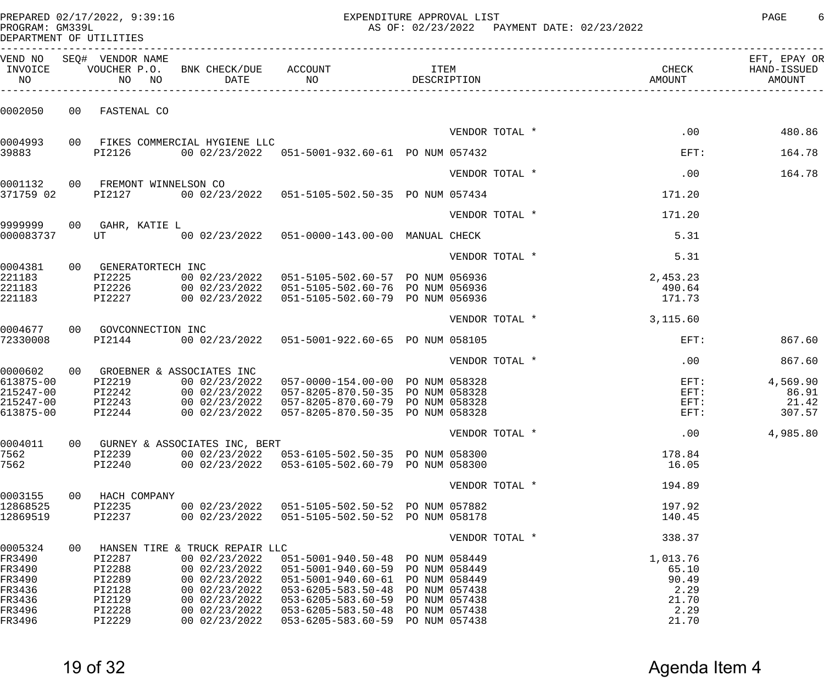| PROGRAM: GM339L                                  |    | DEPARTMENT OF UTILITIES                               |                                                                                                          |                                                                                                                                              | PREPARED 02/17/2022, 9:39:16 EXPENDITURE APPROVAL LIST<br>AS OF: 02/23/2022  PAYMENT DATE: 02/23/2022 |                |                                       |                                       |  |  |
|--------------------------------------------------|----|-------------------------------------------------------|----------------------------------------------------------------------------------------------------------|----------------------------------------------------------------------------------------------------------------------------------------------|-------------------------------------------------------------------------------------------------------|----------------|---------------------------------------|---------------------------------------|--|--|
| INVOICE<br>NO                                    |    | VEND NO SEQ# VENDOR NAME                              |                                                                                                          | VOUCHER P.O. BNK CHECK/DUE ACCOUNT TEM ITEM<br>NO NO DATE NO DO DESCRIPTION                                                                  |                                                                                                       |                | CHECK<br>AMOUNT                       | EFT, EPAY OR<br>HAND-ISSUED<br>AMOUNT |  |  |
| 0002050                                          |    | 00 FASTENAL CO                                        |                                                                                                          |                                                                                                                                              |                                                                                                       |                |                                       |                                       |  |  |
|                                                  |    |                                                       |                                                                                                          |                                                                                                                                              |                                                                                                       | VENDOR TOTAL * | .00                                   | 480.86                                |  |  |
| 0004993<br>39883                                 |    | PI2126                                                | 00 FIKES COMMERCIAL HYGIENE LLC                                                                          | 00 02/23/2022  051-5001-932.60-61  PO NUM 057432                                                                                             |                                                                                                       |                | $\texttt{EFT}$ :                      | 164.78                                |  |  |
|                                                  |    |                                                       |                                                                                                          |                                                                                                                                              |                                                                                                       | VENDOR TOTAL * | .00                                   | 164.78                                |  |  |
| 0001132<br>371759 02                             |    | 00 FREMONT WINNELSON CO<br>PI2127                     |                                                                                                          | 00 02/23/2022  051-5105-502.50-35  PO NUM 057434                                                                                             |                                                                                                       |                | 171.20                                |                                       |  |  |
|                                                  |    |                                                       |                                                                                                          |                                                                                                                                              |                                                                                                       | VENDOR TOTAL * | 171.20                                |                                       |  |  |
| 9999999<br>000083737                             |    | 00 GAHR, KATIE L<br>UT <b>Service Service Service</b> |                                                                                                          | 00 02/23/2022  051-0000-143.00-00  MANUAL CHECK                                                                                              |                                                                                                       |                | 5.31                                  |                                       |  |  |
|                                                  |    |                                                       |                                                                                                          |                                                                                                                                              |                                                                                                       | VENDOR TOTAL * | 5.31                                  |                                       |  |  |
| 0004381<br>221183<br>221183                      |    | 00 GENERATORTECH INC<br>PI2225                        |                                                                                                          | 00 02/23/2022  051-5105-502.60-57  PO NUM 056936<br>PI2226 00 02/23/2022 051-5105-502.60-76 PO NUM 056936                                    |                                                                                                       |                | 2,453.23<br>490.64                    |                                       |  |  |
| 221183                                           |    | PI2227                                                |                                                                                                          | 00 02/23/2022  051-5105-502.60-79  PO NUM 056936                                                                                             |                                                                                                       |                | 171.73                                |                                       |  |  |
| 0004677                                          |    | 00 GOVCONNECTION INC                                  |                                                                                                          |                                                                                                                                              |                                                                                                       | VENDOR TOTAL * | 3,115.60                              |                                       |  |  |
| 72330008                                         |    | PI2144                                                |                                                                                                          | 00 02/23/2022  051-5001-922.60-65  PO NUM 058105                                                                                             |                                                                                                       |                | $EFT$ :                               | 867.60                                |  |  |
|                                                  |    |                                                       |                                                                                                          |                                                                                                                                              |                                                                                                       | VENDOR TOTAL * | .00                                   | 867.60                                |  |  |
| 613875-00<br>215247-00<br>215247-00<br>613875-00 |    | PI2219<br>PI2242<br>PI2243<br>PI2244                  | 0000602 00 GROEBNER & ASSOCIATES INC<br>00 02/23/2022<br>00 02/23/2022<br>00 02/23/2022<br>00 02/23/2022 | 057-0000-154.00-00 PO NUM 058328<br>057-8205-870.50-35 PO NUM 058328<br>057-8205-870.60-79 PO NUM 058328<br>057-8205-870.50-35 PO NUM 058328 |                                                                                                       |                | $EFT$ :<br>$EFT$ :<br>$EFT$ :<br>EFT: | 4,569.90<br>86.91<br>21.42<br>307.57  |  |  |
|                                                  |    |                                                       |                                                                                                          |                                                                                                                                              |                                                                                                       | VENDOR TOTAL * | .00                                   | 4,985.80                              |  |  |
| 0004011<br>7562<br>7562                          |    | PI2239<br>PI2240                                      | 00 GURNEY & ASSOCIATES INC, BERT<br>00 02/23/2022                                                        | 00 02/23/2022  053-6105-502.50-35  PO NUM 058300<br>053-6105-502.60-79 PO NUM 058300                                                         |                                                                                                       |                | 178.84<br>16.05                       |                                       |  |  |
|                                                  |    |                                                       |                                                                                                          |                                                                                                                                              |                                                                                                       | VENDOR TOTAL * | 194.89                                |                                       |  |  |
| 0003155<br>12868525<br>12869519                  |    | 00 HACH COMPANY<br>PI2235<br>PI2237                   | 00 02/23/2022                                                                                            | 00 02/23/2022  051-5105-502.50-52  PO NUM 057882<br>051-5105-502.50-52 PO NUM 058178                                                         |                                                                                                       |                | 197.92<br>140.45                      |                                       |  |  |
|                                                  |    |                                                       |                                                                                                          |                                                                                                                                              |                                                                                                       | VENDOR TOTAL * | 338.37                                |                                       |  |  |
| 0005324<br>FR3490<br>FR3490<br>FR3490<br>FR3436  | 00 | PI2287<br>PI2288<br>PI2289<br>PI2128                  | HANSEN TIRE & TRUCK REPAIR LLC<br>00 02/23/2022<br>00 02/23/2022<br>00 02/23/2022<br>00 02/23/2022       | 051-5001-940.50-48 PO NUM 058449<br>051-5001-940.60-59 PO NUM 058449<br>051-5001-940.60-61 PO NUM 058449<br>053-6205-583.50-48 PO NUM 057438 |                                                                                                       |                | 1,013.76<br>65.10<br>90.49<br>2.29    |                                       |  |  |

FR3436 PI2129 00 02/23/2022 053-6205-583.60-59 PO NUM 057438 21.70 FR3496 PI2228 00 02/23/2022 053-6205-583.50-48 PO NUM 057438 2.29

053-6205-583.60-59 PO NUM 057438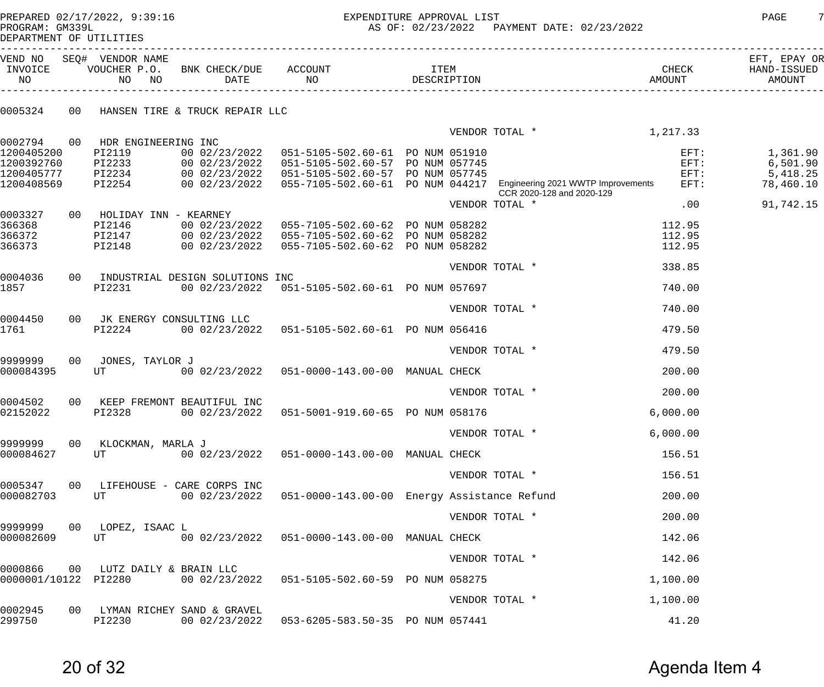PREPARED 02/17/2022, 9:39:16 EXPENDITURE APPROVAL LIST PAGE 7 AS OF: 02/23/2022 PAYMENT DATE: 02/23/2022

DEPARTMENT OF UTILITIES

| VEND NO<br>INVOICE<br>NO | SEQ# VENDOR NAME<br>NO<br>NO   | VOUCHER P.O. BNK CHECK/DUE ACCOUNT | DATE NO                                                                                                                                                                 | <b>ITEM</b><br>DESCRIPTION | <b>AMOUNT</b>                                                                                                     | CHECK              | EFT, EPAY OR<br>HAND-ISSUED<br>AMOUNT |
|--------------------------|--------------------------------|------------------------------------|-------------------------------------------------------------------------------------------------------------------------------------------------------------------------|----------------------------|-------------------------------------------------------------------------------------------------------------------|--------------------|---------------------------------------|
| 0005324                  |                                | 00 HANSEN TIRE & TRUCK REPAIR LLC  |                                                                                                                                                                         |                            |                                                                                                                   |                    |                                       |
|                          |                                |                                    |                                                                                                                                                                         |                            | VENDOR TOTAL $*$ 1, 217.33                                                                                        |                    |                                       |
|                          | 0002794 00 HDR ENGINEERING INC |                                    |                                                                                                                                                                         |                            |                                                                                                                   |                    |                                       |
| 1200405200<br>1200392760 | PI2119                         |                                    | 00 02/23/2022  051-5105-502.60-61  PO NUM 051910                                                                                                                        |                            |                                                                                                                   | $EFT$ :<br>$EFT$ : | 1,361.90                              |
| 1200405777               |                                |                                    |                                                                                                                                                                         |                            |                                                                                                                   | $EFT$ :            | 6,501.90<br>5,418.25                  |
| 1200408569               |                                |                                    | PI2233 00 02/23/2022 051-5105-502.60-57 PO NUM 057745<br>PI2234 00 02/23/2022 051-5105-502.60-57 PO NUM 057745<br>PI2254 00 02/23/2022 055-7105-502.60-61 PO NUM 044217 |                            | 00 02/23/2022  055-7105-502.60-61  PO NUM 044217  Engineering 2021 WWTP Improvements<br>CCR 2020-128 and 2020-129 | $EFT$ :            | 78,460.10                             |
|                          |                                |                                    |                                                                                                                                                                         |                            | VENDOR TOTAL *                                                                                                    | .00                | 91,742.15                             |
| 0003327                  | 00 HOLIDAY INN - KEARNEY       |                                    |                                                                                                                                                                         |                            |                                                                                                                   |                    |                                       |
| 366368                   | PI2146                         |                                    | 00 02/23/2022  055-7105-502.60-62  PO NUM 058282                                                                                                                        |                            |                                                                                                                   | 112.95             |                                       |
| 366372                   |                                |                                    | PI2147 00 02/23/2022 055-7105-502.60-62 PO NUM 058282<br>PI2148 00 02/23/2022 055-7105-502.60-62 PO NUM 058282                                                          |                            |                                                                                                                   | 112.95             |                                       |
| 366373                   |                                |                                    |                                                                                                                                                                         |                            |                                                                                                                   | 112.95             |                                       |
|                          |                                |                                    |                                                                                                                                                                         |                            | VENDOR TOTAL *                                                                                                    | 338.85             |                                       |
| 0004036                  |                                | 00 INDUSTRIAL DESIGN SOLUTIONS INC |                                                                                                                                                                         |                            |                                                                                                                   |                    |                                       |
| 1857                     | PI2231                         |                                    | 00 02/23/2022  051-5105-502.60-61  PO NUM 057697                                                                                                                        |                            |                                                                                                                   | 740.00             |                                       |
|                          |                                |                                    |                                                                                                                                                                         |                            | VENDOR TOTAL *                                                                                                    | 740.00             |                                       |
| 0004450                  | 00 JK ENERGY CONSULTING LLC    |                                    |                                                                                                                                                                         |                            |                                                                                                                   |                    |                                       |
| 1761                     | PI2224                         |                                    | 00 02/23/2022  051-5105-502.60-61  PO NUM 056416                                                                                                                        |                            |                                                                                                                   | 479.50             |                                       |
|                          |                                |                                    |                                                                                                                                                                         |                            | VENDOR TOTAL *                                                                                                    | 479.50             |                                       |
| 9999999                  | 00 JONES, TAYLOR J             |                                    |                                                                                                                                                                         |                            |                                                                                                                   |                    |                                       |
| 000084395                | UT                             |                                    | 00 02/23/2022  051-0000-143.00-00  MANUAL CHECK                                                                                                                         |                            |                                                                                                                   | 200.00             |                                       |
|                          |                                |                                    |                                                                                                                                                                         |                            | VENDOR TOTAL *                                                                                                    | 200.00             |                                       |
| 0004502                  |                                | 00 KEEP FREMONT BEAUTIFUL INC      |                                                                                                                                                                         |                            |                                                                                                                   |                    |                                       |
| 02152022                 | PI2328                         |                                    | 00 02/23/2022  051-5001-919.60-65  PO NUM 058176                                                                                                                        |                            |                                                                                                                   | 6,000.00           |                                       |
|                          |                                |                                    |                                                                                                                                                                         |                            | VENDOR TOTAL *                                                                                                    | 6,000.00           |                                       |
| 9999999                  | 00 KLOCKMAN, MARLA J           |                                    |                                                                                                                                                                         |                            |                                                                                                                   |                    |                                       |
| 000084627                | UT                             |                                    | 00 02/23/2022  051-0000-143.00-00  MANUAL CHECK                                                                                                                         |                            |                                                                                                                   | 156.51             |                                       |
|                          |                                |                                    |                                                                                                                                                                         |                            | VENDOR TOTAL *                                                                                                    | 156.51             |                                       |
| 0005347                  |                                | 00 LIFEHOUSE - CARE CORPS INC      |                                                                                                                                                                         |                            |                                                                                                                   |                    |                                       |
| 000082703                | UT                             |                                    | 00 02/23/2022   051-0000-143.00-00   Energy Assistance Refund                                                                                                           |                            |                                                                                                                   | 200.00             |                                       |
|                          |                                |                                    |                                                                                                                                                                         |                            | VENDOR TOTAL *                                                                                                    | 200.00             |                                       |
| 9999999<br>000082609     | 00 LOPEZ, ISAAC L<br>UT        |                                    | 00 02/23/2022  051-0000-143.00-00  MANUAL CHECK                                                                                                                         |                            |                                                                                                                   | 142.06             |                                       |
|                          |                                |                                    |                                                                                                                                                                         |                            |                                                                                                                   |                    |                                       |
| 0000866                  | 00 LUTZ DAILY & BRAIN LLC      |                                    |                                                                                                                                                                         |                            | VENDOR TOTAL *                                                                                                    | 142.06             |                                       |
| 0000001/10122 PI2280     |                                |                                    | 00 02/23/2022  051-5105-502.60-59  PO NUM 058275                                                                                                                        |                            |                                                                                                                   | 1,100.00           |                                       |
|                          |                                |                                    |                                                                                                                                                                         |                            |                                                                                                                   |                    |                                       |
| 0002945                  |                                | 00 LYMAN RICHEY SAND & GRAVEL      |                                                                                                                                                                         |                            | VENDOR TOTAL *                                                                                                    | 1,100.00           |                                       |
| 299750                   | PI2230                         |                                    | 00 02/23/2022  053-6205-583.50-35  PO NUM 057441                                                                                                                        |                            |                                                                                                                   | 41.20              |                                       |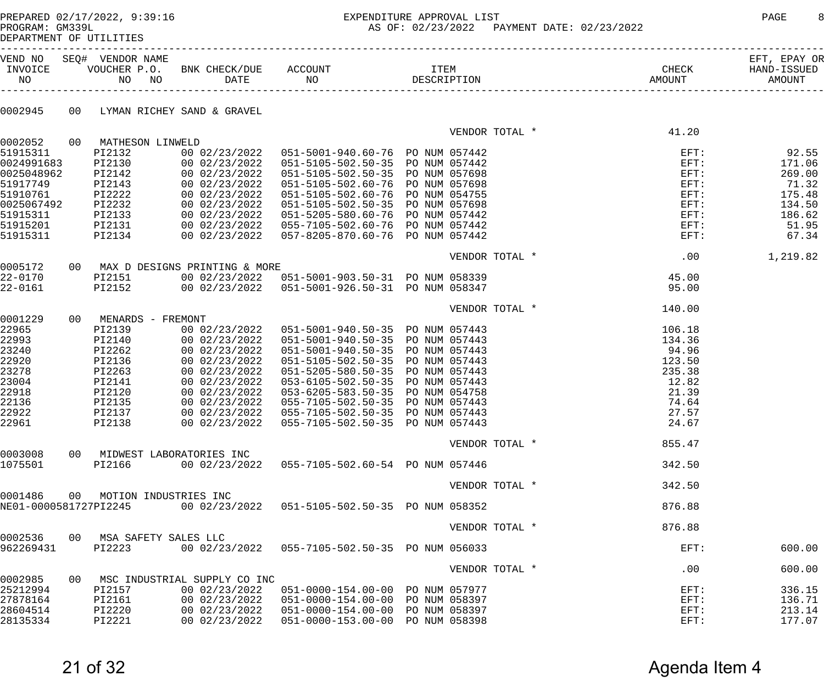# PREPARED 02/17/2022, 9:39:16 EXPENDITURE APPROVAL LIST PAGE 8

AS OF: 02/23/2022 PAYMENT DATE: 02/23/2022

DEPARTMENT OF UTILITIES

| INVOICE<br>NO         |    | VEND NO SEQ# VENDOR NAME<br>NO NO | VOUCHER P.O. BNK CHECK/DUE ACCOUNT |                                                                      |                | CHECK              | EFT, EPAY OR<br>HAND-ISSUED<br>AMOUNT |
|-----------------------|----|-----------------------------------|------------------------------------|----------------------------------------------------------------------|----------------|--------------------|---------------------------------------|
| 0002945               |    | 00 LYMAN RICHEY SAND & GRAVEL     |                                    |                                                                      |                |                    |                                       |
|                       |    |                                   |                                    |                                                                      | VENDOR TOTAL * | 41.20              |                                       |
| 0002052               |    | 00 MATHESON LINWELD               |                                    |                                                                      |                |                    |                                       |
| 51915311              |    | PI2132                            |                                    | 00 02/23/2022  051-5001-940.60-76  PO NUM 057442                     |                | $EFT$ :            | 92.55                                 |
| 0024991683            |    | PI2130                            | 00 02/23/2022                      | 051-5105-502.50-35 PO NUM 057442                                     |                | $EFT$ :            | 171.06                                |
| 0025048962            |    | PI2142                            | 00 02/23/2022                      | 051-5105-502.50-35 PO NUM 057698                                     |                | $EFT$ :            | 269.00                                |
| 51917749              |    | PI2143                            | 00 02/23/2022                      | 051-5105-502.60-76 PO NUM 057698                                     |                | $EFT$ :            | 71.32                                 |
| 51910761              |    | PI2222                            | 00 02/23/2022                      | 051-5105-502.60-76 PO NUM 054755                                     |                | $EFT$ :            | 175.48                                |
| 0025067492            |    | PI2232                            | 00 02/23/2022                      | 051-5105-502.50-35 PO NUM 057698                                     |                | $EFT$ :            | 134.50                                |
| 51915311              |    | PI2133                            | 00 02/23/2022                      | 051-5205-580.60-76 PO NUM 057442<br>055-7105-502.60-76 PO NUM 057442 |                | $EFT$ :            | 186.62                                |
| 51915201<br>51915311  |    | ------<br>PI2131<br>PI2134        | 00 02/23/2022<br>00 02/23/2022     | 057-8205-870.60-76 PO NUM 057442                                     |                | $EFT$ :<br>$EFT$ : | 51.95<br>67.34                        |
|                       |    |                                   |                                    |                                                                      |                |                    |                                       |
|                       |    |                                   |                                    |                                                                      | VENDOR TOTAL * | .00                | 1,219.82                              |
| 0005172               |    |                                   | 00 MAX D DESIGNS PRINTING & MORE   |                                                                      |                |                    |                                       |
| $22 - 0170$           |    | PI2151                            |                                    | 00 02/23/2022  051-5001-903.50-31  PO NUM 058339                     |                | 45.00              |                                       |
| $22 - 0161$           |    | PI2152                            |                                    | 00 02/23/2022  051-5001-926.50-31  PO NUM 058347                     |                | 95.00              |                                       |
|                       |    |                                   |                                    |                                                                      | VENDOR TOTAL * | 140.00             |                                       |
| 0001229               |    | 00 MENARDS - FREMONT              |                                    |                                                                      |                |                    |                                       |
| 22965                 |    | PI2139                            | 00 02/23/2022                      | 051-5001-940.50-35 PO NUM 057443                                     |                | 106.18             |                                       |
| 22993                 |    | PI2140                            | 00 02/23/2022                      | 051-5001-940.50-35 PO NUM 057443                                     |                | 134.36             |                                       |
| 23240                 |    | PI2262                            | 00 02/23/2022                      | 051-5001-940.50-35 PO NUM 057443                                     |                | 94.96              |                                       |
| 22920                 |    | PI2136                            | 00 02/23/2022                      | 051-5105-502.50-35 PO NUM 057443                                     |                | 123.50             |                                       |
| 23278                 |    | PI2263                            | 00 02/23/2022                      | 051-5205-580.50-35 PO NUM 057443                                     |                | 235.38<br>12.82    |                                       |
| 23004<br>22918        |    | PI2141<br>PI2120                  | 00 02/23/2022<br>00 02/23/2022     | 053-6105-502.50-35 PO NUM 057443<br>053-6205-583.50-35 PO NUM 054758 |                | 21.39              |                                       |
| 22136                 |    | PI2135                            | 00 02/23/2022                      | 055-7105-502.50-35 PO NUM 057443                                     |                | 74.64              |                                       |
| 22922                 |    | PI2137                            | 00 02/23/2022                      | 055-7105-502.50-35 PO NUM 057443                                     |                | 27.57              |                                       |
| 22961                 |    | PI2138                            | 00 02/23/2022                      | 055-7105-502.50-35 PO NUM 057443                                     |                | 24.67              |                                       |
|                       |    |                                   |                                    |                                                                      |                |                    |                                       |
|                       |    |                                   |                                    |                                                                      | VENDOR TOTAL * | 855.47             |                                       |
| 0003008               |    | 00 MIDWEST LABORATORIES INC       |                                    |                                                                      |                |                    |                                       |
| 1075501               |    | PI2166                            | 00 02/23/2022                      | 055-7105-502.60-54 PO NUM 057446                                     |                | 342.50             |                                       |
|                       |    |                                   |                                    |                                                                      | VENDOR TOTAL * | 342.50             |                                       |
| 0001486               |    | 00 MOTION INDUSTRIES INC          |                                    |                                                                      |                |                    |                                       |
| NE01-0000581727PI2245 |    |                                   |                                    | 00 02/23/2022  051-5105-502.50-35  PO NUM 058352                     |                | 876.88             |                                       |
|                       |    |                                   |                                    |                                                                      | VENDOR TOTAL * | 876.88             |                                       |
| 0002536               |    | 00 MSA SAFETY SALES LLC           |                                    |                                                                      |                |                    |                                       |
| 962269431             |    | PI2223                            |                                    | 00 02/23/2022  055-7105-502.50-35  PO NUM 056033                     |                | $EFT$ :            | 600.00                                |
|                       |    |                                   |                                    |                                                                      | VENDOR TOTAL * | .00                | 600.00                                |
| 0002985               | 00 |                                   | MSC INDUSTRIAL SUPPLY CO INC       |                                                                      |                |                    |                                       |
| 25212994              |    | PI2157                            |                                    | 00 02/23/2022  051-0000-154.00-00  PO NUM 057977                     |                | $EFT$ :            | 336.15                                |
| 27878164              |    | PI2161                            | 00 02/23/2022                      | 051-0000-154.00-00 PO NUM 058397                                     |                | $EFT$ :            | 136.71                                |
| 28604514              |    | PI2220                            |                                    | 00 02/23/2022  051-0000-154.00-00  PO NUM 058397                     |                | $EFT$ :            | 213.14                                |
| 28135334              |    | PI2221                            |                                    | 00 02/23/2022  051-0000-153.00-00  PO NUM 058398                     |                | $EFT$ :            | 177.07                                |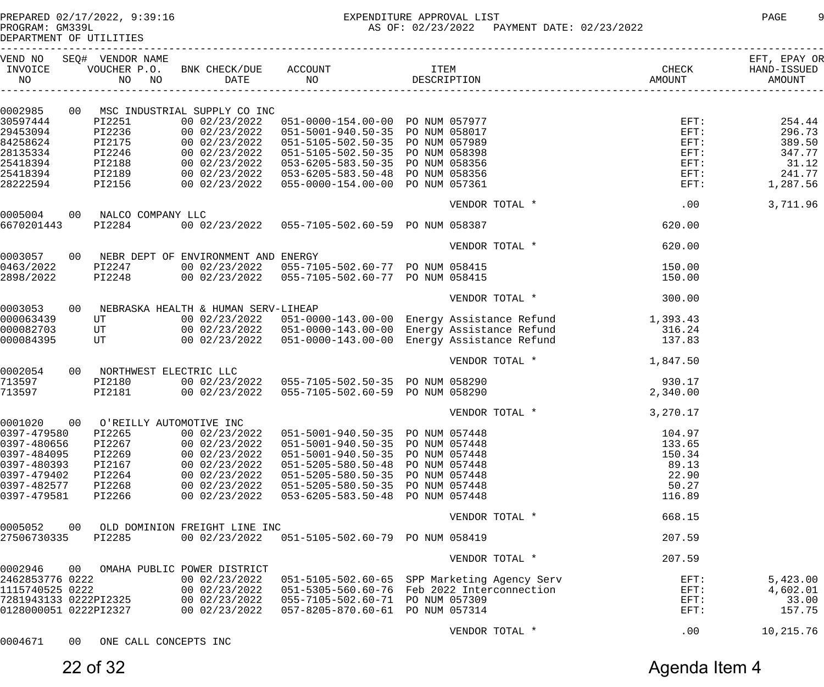DEPARTMENT OF UTILITIES

| INVOICE<br>NO         | VEND NO SEQ# VENDOR NAME                          |                                                |                                                                                                                                                                                                                                            |                                                                                                                                                                                                                                          | CHECK    | EFT, EPAY OR<br>HAND-ISSUED<br>AMOUNT |
|-----------------------|---------------------------------------------------|------------------------------------------------|--------------------------------------------------------------------------------------------------------------------------------------------------------------------------------------------------------------------------------------------|------------------------------------------------------------------------------------------------------------------------------------------------------------------------------------------------------------------------------------------|----------|---------------------------------------|
|                       |                                                   |                                                |                                                                                                                                                                                                                                            |                                                                                                                                                                                                                                          |          |                                       |
| 0002985               |                                                   | 00 MSC INDUSTRIAL SUPPLY CO INC                |                                                                                                                                                                                                                                            |                                                                                                                                                                                                                                          |          |                                       |
| 30597444              | PI2251                                            |                                                |                                                                                                                                                                                                                                            |                                                                                                                                                                                                                                          |          | 254.44                                |
| 29453094              |                                                   |                                                |                                                                                                                                                                                                                                            |                                                                                                                                                                                                                                          |          | 296.73                                |
| 84258624              |                                                   |                                                |                                                                                                                                                                                                                                            |                                                                                                                                                                                                                                          |          | 389.50                                |
| 28135334              |                                                   |                                                |                                                                                                                                                                                                                                            |                                                                                                                                                                                                                                          |          | 347.77                                |
| 25418394              |                                                   |                                                |                                                                                                                                                                                                                                            |                                                                                                                                                                                                                                          |          | 31.12                                 |
|                       |                                                   |                                                |                                                                                                                                                                                                                                            |                                                                                                                                                                                                                                          |          | 241.77                                |
| 25418394              |                                                   |                                                |                                                                                                                                                                                                                                            |                                                                                                                                                                                                                                          |          |                                       |
| 28222594              |                                                   |                                                | P12231 00 02/23/2022 051-0000-154.00-00 PO NOM 057977<br>P12236 00 02/23/2022 051-5001-940.50-35 PO NUM 058017<br>P12175 00 02/23/2022 051-5105-502.50-35 PO NUM 057989<br>P12188 00 02/23/2022 051-5105-502.50-35 PO NUM 058398<br>P12188 | AL SOPPLY CO INC<br>00 02/23/2022 051-0000-154.00-00 PO NUM 057977<br>00 02/23/2022 051-5001-940.50-35 PO NUM 058017<br>00 02/23/2022 051-5105-502.50-35 PO NUM 057989 EFT:<br>00 02/23/2022 051-5105-502.50-35 PO NUM 058398 EFT:<br>00 |          | 1,287.56                              |
|                       |                                                   |                                                |                                                                                                                                                                                                                                            | VENDOR TOTAL * .00                                                                                                                                                                                                                       |          | 3,711.96                              |
|                       | 0005004 00 NALCO COMPANY LLC<br>6670201443 PI2284 |                                                | 00 02/23/2022  055-7105-502.60-59  PO NUM 058387                                                                                                                                                                                           |                                                                                                                                                                                                                                          | 620.00   |                                       |
|                       |                                                   |                                                |                                                                                                                                                                                                                                            |                                                                                                                                                                                                                                          |          |                                       |
|                       |                                                   |                                                |                                                                                                                                                                                                                                            | VENDOR TOTAL *                                                                                                                                                                                                                           | 620.00   |                                       |
|                       |                                                   | 0003057 00 NEBR DEPT OF ENVIRONMENT AND ENERGY |                                                                                                                                                                                                                                            |                                                                                                                                                                                                                                          |          |                                       |
| 0463/2022             |                                                   |                                                | PI2247      00 02/23/2022   055-7105-502.60-77  PO NUM 058415<br>PI2248      00 02/23/2022   055-7105-502.60-77  PO NUM 058415                                                                                                             |                                                                                                                                                                                                                                          | 150.00   |                                       |
| 2898/2022             |                                                   |                                                |                                                                                                                                                                                                                                            |                                                                                                                                                                                                                                          | 150.00   |                                       |
|                       |                                                   |                                                |                                                                                                                                                                                                                                            | VENDOR TOTAL *                                                                                                                                                                                                                           | 300.00   |                                       |
| 0003053               |                                                   | 00 NEBRASKA HEALTH & HUMAN SERV-LIHEAP         |                                                                                                                                                                                                                                            |                                                                                                                                                                                                                                          |          |                                       |
| 000063439             |                                                   |                                                |                                                                                                                                                                                                                                            |                                                                                                                                                                                                                                          |          |                                       |
| 000082703             |                                                   |                                                |                                                                                                                                                                                                                                            |                                                                                                                                                                                                                                          |          |                                       |
| 000084395             |                                                   |                                                |                                                                                                                                                                                                                                            | UT 00 02/23/2022 051-0000-143.00-00 Energy Assistance Refund 1,393.43<br>UT 00 02/23/2022 051-0000-143.00-00 Energy Assistance Refund 316.24<br>UT 00 02/23/2022 051-0000-143.00-00 Energy Assistance Refund 137.83                      |          |                                       |
|                       |                                                   |                                                |                                                                                                                                                                                                                                            |                                                                                                                                                                                                                                          |          |                                       |
|                       |                                                   |                                                |                                                                                                                                                                                                                                            | VENDOR TOTAL * 1,847.50                                                                                                                                                                                                                  |          |                                       |
| 0002054               | 00 NORTHWEST ELECTRIC LLC                         |                                                |                                                                                                                                                                                                                                            |                                                                                                                                                                                                                                          |          |                                       |
| 713597                |                                                   |                                                |                                                                                                                                                                                                                                            |                                                                                                                                                                                                                                          |          |                                       |
| 713597                |                                                   |                                                | PI2181 00 02/23/2022 055-7105-502.60-59 PO NUM 058290                                                                                                                                                                                      |                                                                                                                                                                                                                                          | 2,340.00 |                                       |
|                       |                                                   |                                                |                                                                                                                                                                                                                                            | VENDOR TOTAL * 3,270.17                                                                                                                                                                                                                  |          |                                       |
| 0001020               | 00 O'REILLY AUTOMOTIVE INC                        |                                                |                                                                                                                                                                                                                                            |                                                                                                                                                                                                                                          |          |                                       |
|                       |                                                   |                                                | 0397-479580 PI2265 00 02/23/2022 051-5001-940.50-35 PO NUM 057448                                                                                                                                                                          |                                                                                                                                                                                                                                          | 104.97   |                                       |
| 0397-480656           | PI2267                                            | 00 02/23/2022                                  | 051-5001-940.50-35 PO NUM 057448                                                                                                                                                                                                           |                                                                                                                                                                                                                                          | 133.65   |                                       |
|                       |                                                   |                                                |                                                                                                                                                                                                                                            |                                                                                                                                                                                                                                          |          |                                       |
| 0397-484095           | PI2269                                            | 00 02/23/2022                                  | 051-5001-940.50-35 PO NUM 057448                                                                                                                                                                                                           |                                                                                                                                                                                                                                          | 150.34   |                                       |
| 0397-480393           | PI2167                                            | 00 02/23/2022                                  | 051-5205-580.50-48 PO NUM 057448                                                                                                                                                                                                           |                                                                                                                                                                                                                                          | 89.13    |                                       |
| 0397-479402           | PI2264                                            | 00 02/23/2022                                  | 051-5205-580.50-35 PO NUM 057448                                                                                                                                                                                                           |                                                                                                                                                                                                                                          | 22.90    |                                       |
| 0397-482577           | PI2268                                            | 00 02/23/2022                                  | 051-5205-580.50-35 PO NUM 057448                                                                                                                                                                                                           |                                                                                                                                                                                                                                          | 50.27    |                                       |
| 0397-479581           | PI2266                                            | 00 02/23/2022                                  | 053-6205-583.50-48 PO NUM 057448                                                                                                                                                                                                           |                                                                                                                                                                                                                                          | 116.89   |                                       |
|                       |                                                   |                                                |                                                                                                                                                                                                                                            | VENDOR TOTAL *                                                                                                                                                                                                                           | 668.15   |                                       |
| 0005052               |                                                   | 00 OLD DOMINION FREIGHT LINE INC               |                                                                                                                                                                                                                                            |                                                                                                                                                                                                                                          |          |                                       |
| 27506730335           | PI2285                                            |                                                | 00 02/23/2022  051-5105-502.60-79  PO NUM 058419                                                                                                                                                                                           |                                                                                                                                                                                                                                          | 207.59   |                                       |
|                       |                                                   |                                                |                                                                                                                                                                                                                                            |                                                                                                                                                                                                                                          |          |                                       |
| 0002946               |                                                   | 00 OMAHA PUBLIC POWER DISTRICT                 |                                                                                                                                                                                                                                            | VENDOR TOTAL *                                                                                                                                                                                                                           | 207.59   |                                       |
| 2462853776 0222       |                                                   |                                                | 00 02/23/2022   051-5105-502.60-65   SPP Marketing Agency Serv                                                                                                                                                                             |                                                                                                                                                                                                                                          | $EFT$ :  | 5,423.00                              |
| 1115740525 0222       |                                                   |                                                | 00 02/23/2022  051-5305-560.60-76  Feb 2022 Interconnection                                                                                                                                                                                |                                                                                                                                                                                                                                          | $EFT$ :  | 4,602.01                              |
| 7281943133 0222PI2325 |                                                   | 00 02/23/2022                                  | 055-7105-502.60-71 PO NUM 057309                                                                                                                                                                                                           |                                                                                                                                                                                                                                          |          | 33.00                                 |
|                       |                                                   |                                                |                                                                                                                                                                                                                                            |                                                                                                                                                                                                                                          | $EFT$ :  |                                       |
| 0128000051 0222PI2327 |                                                   | 00 02/23/2022                                  | 057-8205-870.60-61 PO NUM 057314                                                                                                                                                                                                           |                                                                                                                                                                                                                                          | EFT:     | 157.75                                |
|                       |                                                   |                                                |                                                                                                                                                                                                                                            | VENDOR TOTAL *                                                                                                                                                                                                                           | .00      | 10,215.76                             |

0004671 00 ONE CALL CONCEPTS INC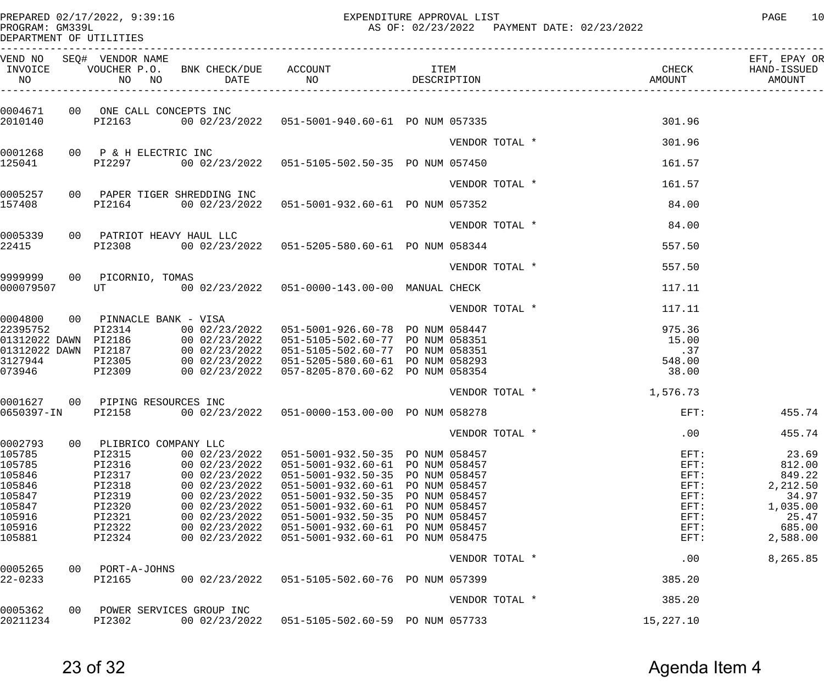PREPARED 02/17/2022, 9:39:16 EXPENDITURE APPROVAL LIST PAGE 10 AS OF: 02/23/2022 PAYMENT DATE: 02/23/2022

DEPARTMENT OF UTILITIES

| INVOICE<br>NO                | VEND NO SEQ# VENDOR NAME          |                                      | VOUCHER P.O. BNK CHECK/DUE ACCOUNT TEM ITEM<br>NO NO DATE NO DO DESCRIPTION |               |                | CHECK<br>AMOUNT<br>---------------------------- | EFT, EPAY OR<br>HAND-ISSUED<br>AMOUNT |
|------------------------------|-----------------------------------|--------------------------------------|-----------------------------------------------------------------------------|---------------|----------------|-------------------------------------------------|---------------------------------------|
|                              |                                   |                                      |                                                                             |               |                |                                                 |                                       |
| 2010140                      | 0004671 00 ONE CALL CONCEPTS INC  |                                      | PI2163 00 02/23/2022 051-5001-940.60-61 PO NUM 057335                       |               |                | 301.96                                          |                                       |
|                              |                                   |                                      |                                                                             |               | VENDOR TOTAL * | 301.96                                          |                                       |
| 125041                       | 0001268 00 P & H ELECTRIC INC     |                                      | PI2297 00 02/23/2022 051-5105-502.50-35 PO NUM 057450                       |               |                | 161.57                                          |                                       |
|                              |                                   |                                      |                                                                             |               |                |                                                 |                                       |
|                              |                                   | 0005257 00 PAPER TIGER SHREDDING INC |                                                                             |               | VENDOR TOTAL * | 161.57                                          |                                       |
| 157408                       |                                   |                                      | PI2164 00 02/23/2022 051-5001-932.60-61 PO NUM 057352                       |               |                | 84.00                                           |                                       |
|                              |                                   |                                      |                                                                             |               | VENDOR TOTAL * | 84.00                                           |                                       |
| 22415                        | 0005339 00 PATRIOT HEAVY HAUL LLC |                                      | PI2308 00 02/23/2022 051-5205-580.60-61 PO NUM 058344                       |               |                | 557.50                                          |                                       |
|                              |                                   |                                      |                                                                             |               | VENDOR TOTAL * |                                                 |                                       |
|                              | 9999999 00 PICORNIO, TOMAS        |                                      |                                                                             |               |                | 557.50                                          |                                       |
| 000079507                    |                                   |                                      | UT 600 02/23/2022 051-0000-143.00-00 MANUAL CHECK                           |               |                | 117.11                                          |                                       |
|                              |                                   |                                      |                                                                             |               | VENDOR TOTAL * | 117.11                                          |                                       |
|                              | 0004800 00 PINNACLE BANK - VISA   |                                      | PI2314 00 02/23/2022 051-5001-926.60-78 PO NUM 058447                       |               |                |                                                 |                                       |
| 22395752                     |                                   |                                      |                                                                             |               |                | 975.36<br>15.00                                 |                                       |
|                              |                                   |                                      |                                                                             |               |                | .37                                             |                                       |
|                              |                                   |                                      |                                                                             |               |                | 548.00                                          |                                       |
|                              |                                   |                                      |                                                                             |               |                | 38.00                                           |                                       |
|                              |                                   |                                      |                                                                             |               | VENDOR TOTAL * | 1,576.73                                        |                                       |
|                              | 0001627 00 PIPING RESOURCES INC   |                                      |                                                                             |               |                |                                                 |                                       |
|                              |                                   |                                      | 0650397-IN PI2158 00 02/23/2022 051-0000-153.00-00 PO NUM 058278            |               |                | $\texttt{EFT}$ :                                | 455.74                                |
|                              |                                   |                                      |                                                                             |               | VENDOR TOTAL * | .00                                             | 455.74                                |
| 0002793<br>00<br>105785      | PLIBRICO COMPANY LLC<br>PI2315    | 00 02/23/2022                        | 051-5001-932.50-35 PO NUM 058457                                            |               |                | $EFT$ :                                         | 23.69                                 |
| 105785                       | PI2316                            | 00 02/23/2022                        | 051-5001-932.60-61                                                          | PO NUM 058457 |                | EFT:                                            | 812.00                                |
| 105846                       | PI2317                            | 00 02/23/2022                        | $051 - 5001 - 932.50 - 35$                                                  | PO NUM 058457 |                | $EFT$ :                                         | 849.22                                |
| 105846                       | PI2318                            | 00 02/23/2022                        | $051 - 5001 - 932.60 - 61$                                                  | PO NUM 058457 |                | $EFT$ :                                         | 2,212.50                              |
| 105847                       | PI2319                            | 00 02/23/2022                        | $051 - 5001 - 932.50 - 35$                                                  | PO NUM 058457 |                | $EFT$ :                                         | 34.97                                 |
| 105847                       | PI2320                            | 00 02/23/2022                        | $051 - 5001 - 932.60 - 61$                                                  | PO NUM 058457 |                | $EFT$ :                                         | 1,035.00                              |
| 105916                       | PI2321                            | 00 02/23/2022                        | 051-5001-932.50-35 PO NUM 058457                                            |               |                | $EFT$ :                                         | 25.47                                 |
| 105916                       | PI2322                            | 00 02/23/2022                        | $051 - 5001 - 932.60 - 61$                                                  | PO NUM 058457 |                | $EFT$ :                                         | 685.00                                |
| 105881                       | PI2324                            | 00 02/23/2022                        | $051 - 5001 - 932.60 - 61$                                                  | PO NUM 058475 |                | $EFT$ :                                         | 2,588.00                              |
|                              |                                   |                                      |                                                                             |               | VENDOR TOTAL * | .00                                             | 8,265.85                              |
| 0005265<br>00<br>$22 - 0233$ | PORT-A-JOHNS<br>PI2165            | 00 02/23/2022                        | 051-5105-502.60-76 PO NUM 057399                                            |               |                | 385.20                                          |                                       |
|                              |                                   |                                      |                                                                             |               | VENDOR TOTAL * | 385.20                                          |                                       |
| 0005362<br>00                |                                   | POWER SERVICES GROUP INC             |                                                                             |               |                |                                                 |                                       |
| 20211234                     | PI2302                            | 00 02/23/2022                        | 051-5105-502.60-59 PO NUM 057733                                            |               |                | 15,227.10                                       |                                       |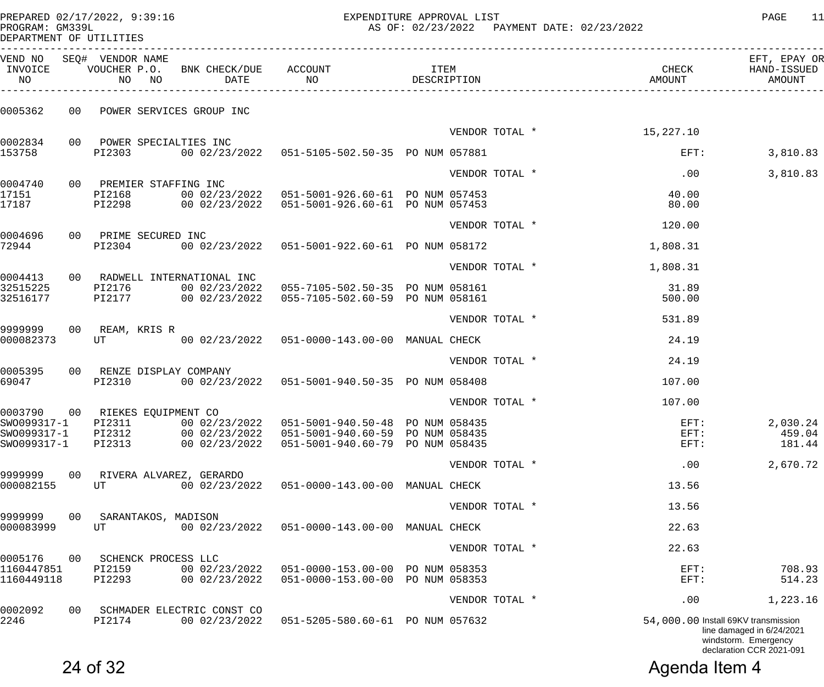| PREPARED 02/17/2022, 9:39:16<br>PROGRAM: GM339L<br>DEPARTMENT OF UTILITIES |    |                          |                                           | EXPENDITURE APPROVAL LIST<br>נם ניומל/ליומי באת גם ב<br>AS OF: 02/23/2022  PAYMENT DATE: 02/23/2022 | PAGE<br>11  |                      |                          |                                             |
|----------------------------------------------------------------------------|----|--------------------------|-------------------------------------------|-----------------------------------------------------------------------------------------------------|-------------|----------------------|--------------------------|---------------------------------------------|
| INVOICE<br>NO                                                              |    | VEND NO SEQ# VENDOR NAME | NO NO DATE NO                             | VOUCHER P.O. BNK CHECK/DUE ACCOUNT THEM                                                             | DESCRIPTION |                      | AMOUNT                   | EFT, EPAY OR<br>CHECK HAND-ISSUED<br>AMOUNT |
| 0005362                                                                    |    |                          | 00 POWER SERVICES GROUP INC               |                                                                                                     |             |                      |                          |                                             |
|                                                                            |    |                          |                                           |                                                                                                     |             |                      | VENDOR TOTAL * 15,227.10 |                                             |
| 0002834<br>153758                                                          |    | PI2303                   | 00 POWER SPECIALTIES INC                  |                                                                                                     |             |                      | $EFT$ :                  | 3,810.83                                    |
|                                                                            |    |                          |                                           |                                                                                                     |             | VENDOR TOTAL *       | .00                      | 3,810.83                                    |
| 0004740                                                                    |    | 00 PREMIER STAFFING INC  |                                           |                                                                                                     |             |                      |                          |                                             |
| 17151<br>17187                                                             |    | PI2168                   |                                           | PI2298 00 02/23/2022 051-5001-926.60-61 PO NUM 057453                                               |             |                      | 40.00<br>80.00           |                                             |
|                                                                            |    |                          |                                           |                                                                                                     |             | VENDOR TOTAL *       | 120.00                   |                                             |
| 0004696                                                                    |    | 00 PRIME SECURED INC     |                                           |                                                                                                     |             |                      |                          |                                             |
| 72944                                                                      |    | PI2304                   |                                           |                                                                                                     |             |                      | 1,808.31                 |                                             |
|                                                                            |    |                          |                                           |                                                                                                     |             | VENDOR TOTAL *       | 1,808.31                 |                                             |
| 0004413<br>32515225                                                        |    | PI2176                   | 00 RADWELL INTERNATIONAL INC              | 00 02/23/2022  055-7105-502.50-35  PO NUM 058161                                                    |             |                      | 31.89                    |                                             |
| 32516177                                                                   |    |                          | PI2177 00 02/23/2022                      | 055-7105-502.60-59 PO NUM 058161                                                                    |             |                      | 500.00                   |                                             |
|                                                                            |    |                          |                                           |                                                                                                     |             | VENDOR TOTAL *       | 531.89                   |                                             |
| 9999999                                                                    |    | 00 REAM, KRIS R          |                                           |                                                                                                     |             |                      |                          |                                             |
| 000082373                                                                  |    |                          |                                           | UT 600 02/23/2022 051-0000-143.00-00 MANUAL CHECK                                                   |             |                      | 24.19                    |                                             |
|                                                                            |    |                          |                                           |                                                                                                     |             | VENDOR TOTAL *       | 24.19                    |                                             |
| 0005395<br>69047                                                           |    | PI2310                   | 00 RENZE DISPLAY COMPANY<br>00 02/23/2022 | 051-5001-940.50-35 PO NUM 058408                                                                    |             |                      | 107.00                   |                                             |
|                                                                            |    |                          |                                           |                                                                                                     |             | VENDOR TOTAL *       | 107.00                   |                                             |
| 0003790                                                                    | 00 | RIEKES EQUIPMENT CO      |                                           |                                                                                                     |             |                      |                          |                                             |
| SW0099317-1<br>SW0099317-1                                                 |    | PI2311<br>PI2312         | 00 02/23/2022<br>00 02/23/2022            | 051-5001-940.50-48 PO NUM 058435<br>051-5001-940.60-59 PO NUM 058435                                |             |                      | $EFT$ :<br>EFT:          | 2,030.24<br>459.04                          |
| SW0099317-1                                                                |    | PI2313                   | 00 02/23/2022                             | 051-5001-940.60-79 PO NUM 058435                                                                    |             |                      | EFT:                     | 181.44                                      |
|                                                                            |    |                          |                                           |                                                                                                     |             | VENDOR TOTAL *       | .00                      | 2,670.72                                    |
| 9999999<br>000082155                                                       | 00 | UT                       | RIVERA ALVAREZ, GERARDO<br>00 02/23/2022  | 051-0000-143.00-00 MANUAL CHECK                                                                     |             |                      | 13.56                    |                                             |
|                                                                            |    |                          |                                           |                                                                                                     |             | $\tau$ $\tau$ $\tau$ | 12E                      |                                             |

| 2246                     |    | PI2174                                 | 00 02/23/2022                  | 051-5205-580.60-61                               | PO NUM 057632                  |                | 54,000.00 Install 69KV transmission | line damaged in 6/24/2021<br>windstorm. Emergency<br>declaration CCR 2021-091 |
|--------------------------|----|----------------------------------------|--------------------------------|--------------------------------------------------|--------------------------------|----------------|-------------------------------------|-------------------------------------------------------------------------------|
| 0002092                  | 00 |                                        | SCHMADER ELECTRIC CONST CO     |                                                  |                                | VENDOR TOTAL * | .00                                 | 1,223.16                                                                      |
| 1160447851<br>1160449118 |    | PI2159<br>PI2293                       | 00 02/23/2022<br>00 02/23/2022 | 051-0000-153.00-00<br>$051 - 0000 - 153.00 - 00$ | PO NUM 058353<br>PO NUM 058353 |                | $EFT$ :<br>$EFT$ :                  | 708.93<br>514.23                                                              |
| 0005176                  | 00 | SCHENCK PROCESS LLC                    |                                |                                                  |                                | VENDOR TOTAL * | 22.63                               |                                                                               |
| 9999999<br>000083999     | 00 | SARANTAKOS, MADISON<br>UT              | 00 02/23/2022                  | $051 - 0000 - 143.00 - 00$                       | MANUAL CHECK                   |                | 22.63                               |                                                                               |
|                          |    |                                        |                                |                                                  |                                | VENDOR TOTAL * | 13.56                               |                                                                               |
| ------<br>000082155      |    | without the visiting , chitester<br>UT | 00 02/23/2022                  | $051 - 0000 - 143.00 - 00$                       | MANUAL CHECK                   |                | 13.56                               |                                                                               |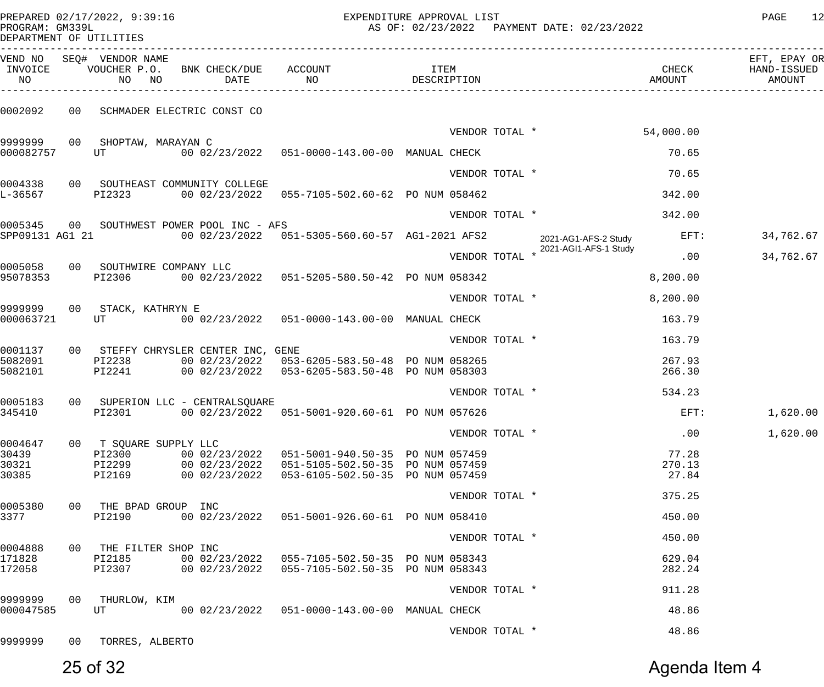PREPARED 02/17/2022, 9:39:16 EXPENDITURE APPROVAL LIST<br>PROCRAM: CM3391 AS OF: 02/23/2022 PAYMENT DATE: 02/23/2022

| PROGRAM: GM339L         |  |
|-------------------------|--|
| DEPARTMENT OF UTILITIES |  |

| INVOICE<br>NO        | VEND NO SEQ# VENDOR NAME<br>NO NO   | VOUCHER P.O. BNK CHECK/DUE ACCOUNT        | DATE NO                                                                                              | <b>ITEM</b><br>DESCRIPTION |                                               | CHECK<br>AMOUNT | EFT, EPAY OR<br>HAND-ISSUED<br>AMOUNT |
|----------------------|-------------------------------------|-------------------------------------------|------------------------------------------------------------------------------------------------------|----------------------------|-----------------------------------------------|-----------------|---------------------------------------|
| 0002092              |                                     | 00 SCHMADER ELECTRIC CONST CO             |                                                                                                      |                            |                                               |                 |                                       |
|                      |                                     |                                           |                                                                                                      |                            | VENDOR TOTAL *                                | 54,000.00       |                                       |
| 000082757            | 9999999 00 SHOPTAW, MARAYAN C<br>UT |                                           |                                                                                                      |                            |                                               | 70.65           |                                       |
|                      |                                     |                                           |                                                                                                      | VENDOR TOTAL *             |                                               | 70.65           |                                       |
| L-36567              | PI2323                              | 0004338 00 SOUTHEAST COMMUNITY COLLEGE    | 00 02/23/2022  055-7105-502.60-62  PO NUM 058462                                                     |                            |                                               | 342.00          |                                       |
|                      |                                     |                                           |                                                                                                      |                            |                                               |                 |                                       |
|                      |                                     | 0005345 00 SOUTHWEST POWER POOL INC - AFS |                                                                                                      | VENDOR TOTAL *             |                                               | 342.00          |                                       |
|                      |                                     |                                           | SPP09131 AG1 21 00 02/23/2022 051-5305-560.60-57 AG1-2021 AFS2                                       |                            | 2021-AG1-AFS-2 Study<br>2021-AGI1-AFS-1 Study | $EFT$ :         | 34,762.67                             |
|                      | 0005058 00 SOUTHWIRE COMPANY LLC    |                                           |                                                                                                      | VENDOR TOTAL *             |                                               | .00             | 34,762.67                             |
| 95078353             | PI2306                              |                                           | 00 02/23/2022  051-5205-580.50-42  PO NUM 058342                                                     |                            |                                               | 8,200.00        |                                       |
|                      |                                     |                                           |                                                                                                      | VENDOR TOTAL *             |                                               | 8,200.00        |                                       |
| 000063721            | 9999999 00 STACK, KATHRYN E<br>UT   |                                           | 00 02/23/2022  051-0000-143.00-00  MANUAL CHECK                                                      |                            |                                               | 163.79          |                                       |
|                      |                                     |                                           |                                                                                                      | VENDOR TOTAL *             |                                               | 163.79          |                                       |
| 0001137<br>5082091   | PI2238                              | 00 STEFFY CHRYSLER CENTER INC, GENE       | 00 02/23/2022  053-6205-583.50-48  PO NUM 058265                                                     |                            |                                               | 267.93          |                                       |
| 5082101              | PI2241                              |                                           | 00 02/23/2022  053-6205-583.50-48  PO NUM 058303                                                     |                            |                                               | 266.30          |                                       |
|                      |                                     |                                           |                                                                                                      | VENDOR TOTAL *             |                                               | 534.23          |                                       |
| 345410               | PI2301                              | 0005183 00 SUPERION LLC - CENTRALSQUARE   | 00 02/23/2022  051-5001-920.60-61  PO NUM 057626                                                     |                            |                                               | $EFT$ :         | 1,620.00                              |
|                      |                                     |                                           |                                                                                                      | VENDOR TOTAL *             |                                               | .00             | 1,620.00                              |
| 0004647              | 00 T SQUARE SUPPLY LLC              |                                           |                                                                                                      |                            |                                               |                 |                                       |
| 30439<br>30321       | PI2300<br>PI2299                    |                                           | 00 02/23/2022  051-5001-940.50-35  PO NUM 057459<br>00 02/23/2022  051-5105-502.50-35  PO NUM 057459 |                            |                                               | 77.28<br>270.13 |                                       |
| 30385                | PI2169                              |                                           | 00 02/23/2022  053-6105-502.50-35  PO NUM 057459                                                     |                            |                                               | 27.84           |                                       |
|                      |                                     |                                           |                                                                                                      | VENDOR TOTAL *             |                                               | 375.25          |                                       |
| 0005380<br>3377      | 00 THE BPAD GROUP INC<br>PI2190     |                                           | 00 02/23/2022  051-5001-926.60-61  PO NUM 058410                                                     |                            |                                               | 450.00          |                                       |
|                      |                                     |                                           |                                                                                                      | VENDOR TOTAL *             |                                               | 450.00          |                                       |
| 0004888<br>171828    | 00 THE FILTER SHOP INC<br>PI2185    |                                           | 00 02/23/2022  055-7105-502.50-35  PO NUM 058343                                                     |                            |                                               | 629.04          |                                       |
| 172058               | PI2307                              |                                           | 00 02/23/2022  055-7105-502.50-35  PO NUM 058343                                                     |                            |                                               | 282.24          |                                       |
|                      |                                     |                                           |                                                                                                      | VENDOR TOTAL *             |                                               | 911.28          |                                       |
| 9999999<br>000047585 | 00 THURLOW, KIM<br>UT               |                                           | 00 02/23/2022  051-0000-143.00-00  MANUAL CHECK                                                      |                            |                                               | 48.86           |                                       |
|                      |                                     |                                           |                                                                                                      | VENDOR TOTAL *             |                                               | 48.86           |                                       |
| 9999999              | 00 TORRES, ALBERTO                  |                                           |                                                                                                      |                            |                                               |                 |                                       |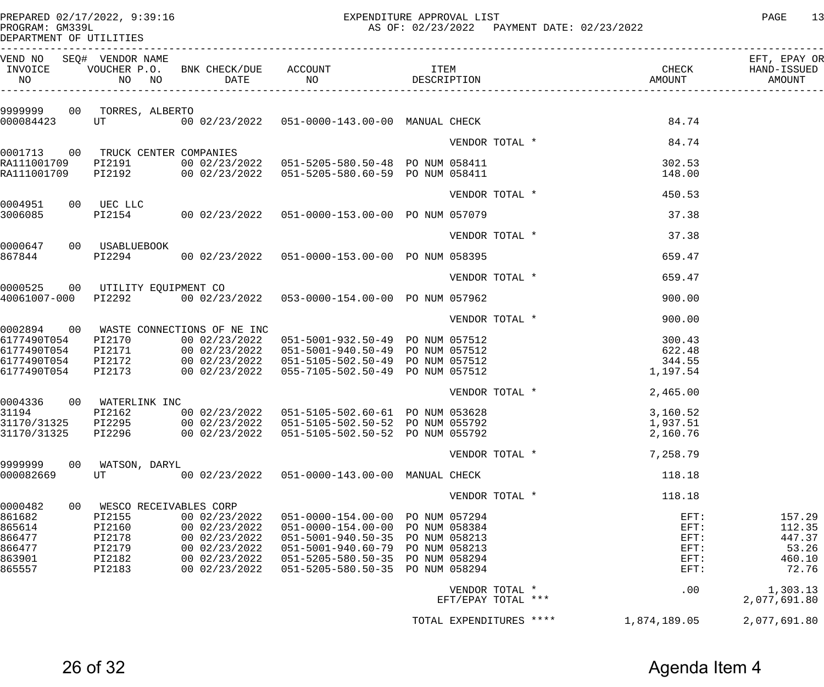PREPARED 02/17/2022, 9:39:16 EXPENDITURE APPROVAL LIST PAGE 13

AS OF: 02/23/2022 PAYMENT DATE: 02/23/2022

| PROGRAM: GM339L |                         |
|-----------------|-------------------------|
|                 | DEPARTMENT OF UTILITIES |

| VEND NO SEQ# VENDOR NAME<br>INVOICE<br>NO |                                   |                                        |                                                                                                                                                                                                             |                         |                | CHECK                   | EFT, EPAY OR<br>HAND-ISSUED<br>AMOUNT |
|-------------------------------------------|-----------------------------------|----------------------------------------|-------------------------------------------------------------------------------------------------------------------------------------------------------------------------------------------------------------|-------------------------|----------------|-------------------------|---------------------------------------|
|                                           | 9999999 00 TORRES, ALBERTO        |                                        |                                                                                                                                                                                                             |                         |                |                         |                                       |
| 000084423                                 |                                   |                                        | UT 600 02/23/2022 051-0000-143.00-00 MANUAL CHECK                                                                                                                                                           |                         |                | 84.74                   |                                       |
|                                           |                                   |                                        |                                                                                                                                                                                                             |                         | VENDOR TOTAL * | 84.74                   |                                       |
|                                           | 0001713 00 TRUCK CENTER COMPANIES |                                        |                                                                                                                                                                                                             |                         |                | 302.53                  |                                       |
|                                           |                                   |                                        | RA111001709 PI2192 00 02/23/2022 051-5205-580.60-59 PONUM 058411                                                                                                                                            |                         |                | 148.00                  |                                       |
|                                           |                                   |                                        |                                                                                                                                                                                                             |                         | VENDOR TOTAL * | 450.53                  |                                       |
| 0004951 00 UEC LLC<br>3006085             |                                   |                                        | PI2154 00 02/23/2022 051-0000-153.00-00 PO NUM 057079                                                                                                                                                       |                         |                | 37.38                   |                                       |
|                                           |                                   |                                        |                                                                                                                                                                                                             |                         | VENDOR TOTAL * | 37.38                   |                                       |
| 0000647 00 USABLUEBOOK                    |                                   |                                        |                                                                                                                                                                                                             |                         |                |                         |                                       |
|                                           |                                   |                                        | 867844 PI2294 00 02/23/2022 051-0000-153.00-00 PO NUM 058395                                                                                                                                                |                         |                | 659.47                  |                                       |
|                                           |                                   |                                        |                                                                                                                                                                                                             |                         | VENDOR TOTAL * | 659.47                  |                                       |
|                                           | 0000525 00 UTILITY EQUIPMENT CO   |                                        | 40061007-000 PI2292 00 02/23/2022 053-0000-154.00-00 PO NUM 057962                                                                                                                                          |                         |                | 900.00                  |                                       |
|                                           |                                   |                                        |                                                                                                                                                                                                             |                         | VENDOR TOTAL * | 900.00                  |                                       |
|                                           |                                   | 0002894 00 WASTE CONNECTIONS OF NE INC |                                                                                                                                                                                                             |                         |                |                         |                                       |
|                                           |                                   |                                        | 6177490T054 PI2170 00 02/23/2022 051-5001-932.50-49 PO NUM 057512                                                                                                                                           |                         |                | 300.43                  |                                       |
|                                           |                                   |                                        |                                                                                                                                                                                                             |                         |                | 622.48<br>344.55        |                                       |
|                                           |                                   |                                        | 6177490T054 PI2171 00 02/23/2022 051-5001-940.50-49 PO NUM 057512<br>6177490T054 PI2172 00 02/23/2022 051-5001-940.50-49 PO NUM 057512<br>6177490T054 PI2173 00 02/23/2022 055-7105-502.50-49 PO NUM 057512 |                         |                | 1,197.54                |                                       |
|                                           |                                   |                                        |                                                                                                                                                                                                             |                         |                | VENDOR TOTAL * 2,465.00 |                                       |
|                                           | 0004336 00 WATERLINK INC          |                                        |                                                                                                                                                                                                             |                         |                |                         |                                       |
|                                           |                                   |                                        |                                                                                                                                                                                                             |                         |                | 3,160.52                |                                       |
|                                           |                                   |                                        | 31194<br>31170/31325 PI2295 00 02/23/2022 051-5105-502.60-61 PO NUM 053628<br>31170/31325 PI2295 00 02/23/2022 051-5105-502.50-52 PO NUM 055792                                                             |                         |                | 1,937.51                |                                       |
|                                           |                                   |                                        | 31170/31325 PI2296 00 02/23/2022 051-5105-502.50-52 PO NUM 055792                                                                                                                                           |                         |                | 2,160.76                |                                       |
|                                           |                                   |                                        |                                                                                                                                                                                                             | VENDOR TOTAL *          |                | 7,258.79                |                                       |
| 9999999<br>00                             | WATSON, DARYL                     |                                        |                                                                                                                                                                                                             |                         |                |                         |                                       |
| 000082669                                 | UT                                | 00 02/23/2022                          | 051-0000-143.00-00 MANUAL CHECK                                                                                                                                                                             |                         |                | 118.18                  |                                       |
| 0000482<br>00                             | WESCO RECEIVABLES CORP            |                                        |                                                                                                                                                                                                             | VENDOR TOTAL *          |                | 118.18                  |                                       |
| 861682                                    | PI2155                            | 00 02/23/2022                          | $051 - 0000 - 154.00 - 00$                                                                                                                                                                                  | PO NUM 057294           |                | EFT:                    | 157.29                                |
| 865614                                    | PI2160                            | 00 02/23/2022                          | $051 - 0000 - 154.00 - 00$                                                                                                                                                                                  | PO NUM 058384           |                | EFT:                    | 112.35                                |
| 866477                                    | PI2178                            | 00 02/23/2022                          | $051 - 5001 - 940.50 - 35$                                                                                                                                                                                  | PO NUM 058213           |                | EFT:                    | 447.37                                |
| 866477                                    | PI2179                            | 00 02/23/2022                          | 051-5001-940.60-79                                                                                                                                                                                          | PO NUM 058213           |                | EFT:                    | 53.26                                 |
| 863901                                    | PI2182                            | 00 02/23/2022                          | 051-5205-580.50-35                                                                                                                                                                                          | PO NUM 058294           |                | $EFT$ :                 | 460.10                                |
| 865557                                    | PI2183                            | 00 02/23/2022                          | $051 - 5205 - 580.50 - 35$                                                                                                                                                                                  | PO NUM 058294           |                | EFT:                    | 72.76                                 |
|                                           |                                   |                                        |                                                                                                                                                                                                             | VENDOR TOTAL *          |                | .00                     | 1,303.13                              |
|                                           |                                   |                                        |                                                                                                                                                                                                             | EFT/EPAY TOTAL ***      |                |                         | 2,077,691.80                          |
|                                           |                                   |                                        |                                                                                                                                                                                                             | TOTAL EXPENDITURES **** |                | 1,874,189.05            | 2,077,691.80                          |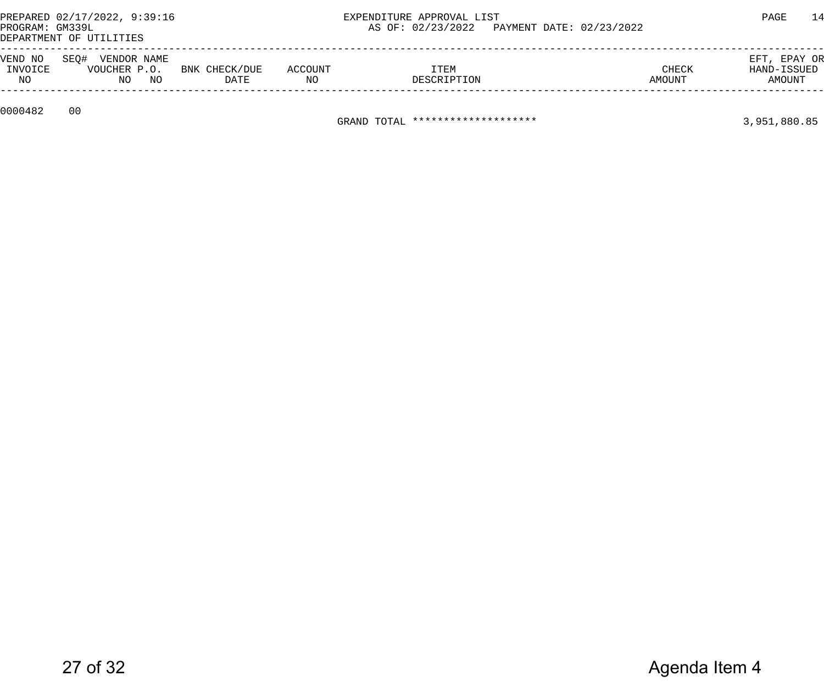| PROGRAM: GM339L          | PREPARED 02/17/2022, 9:39:16<br>DEPARTMENT OF UTILITIES |                       |               | EXPENDITURE APPROVAL LIST         | AS OF: 02/23/2022  PAYMENT DATE: 02/23/2022 |                 | 14<br>PAGE                            |
|--------------------------|---------------------------------------------------------|-----------------------|---------------|-----------------------------------|---------------------------------------------|-----------------|---------------------------------------|
| VEND NO<br>INVOICE<br>NO | SEO#<br>VENDOR NAME<br>VOUCHER P.O.<br>NO<br>NO         | BNK CHECK/DUE<br>DATE | ACCOUNT<br>ΝO | ITEM<br>DESCRIPTION               |                                             | CHECK<br>AMOUNT | EFT, EPAY OR<br>HAND-ISSUED<br>AMOUNT |
| 0000482                  | 00                                                      |                       |               | GRAND TOTAL ********************* |                                             |                 | 3,951,880.85                          |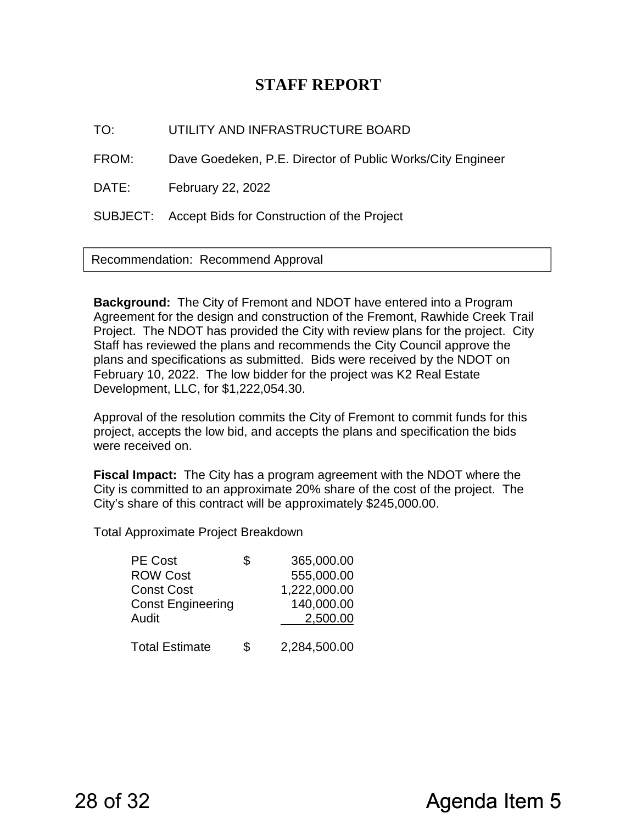### **STAFF REPORT**

TO: UTILITY AND INFRASTRUCTURE BOARD

FROM: Dave Goedeken, P.E. Director of Public Works/City Engineer

DATE: February 22, 2022

SUBJECT: Accept Bids for Construction of the Project

Recommendation: Recommend Approval

**Background:** The City of Fremont and NDOT have entered into a Program Agreement for the design and construction of the Fremont, Rawhide Creek Trail Project. The NDOT has provided the City with review plans for the project. City Staff has reviewed the plans and recommends the City Council approve the plans and specifications as submitted. Bids were received by the NDOT on February 10, 2022. The low bidder for the project was K2 Real Estate Development, LLC, for \$1,222,054.30.

Approval of the resolution commits the City of Fremont to commit funds for this project, accepts the low bid, and accepts the plans and specification the bids were received on.

**Fiscal Impact:** The City has a program agreement with the NDOT where the City is committed to an approximate 20% share of the cost of the project. The City's share of this contract will be approximately \$245,000.00.

Total Approximate Project Breakdown

| <b>PE Cost</b>           | \$<br>365,000.00   |
|--------------------------|--------------------|
| <b>ROW Cost</b>          | 555,000.00         |
| <b>Const Cost</b>        | 1,222,000.00       |
| <b>Const Engineering</b> | 140,000.00         |
| Audit                    | 2,500.00           |
|                          |                    |
| <b>Total Estimate</b>    | \$<br>2,284,500.00 |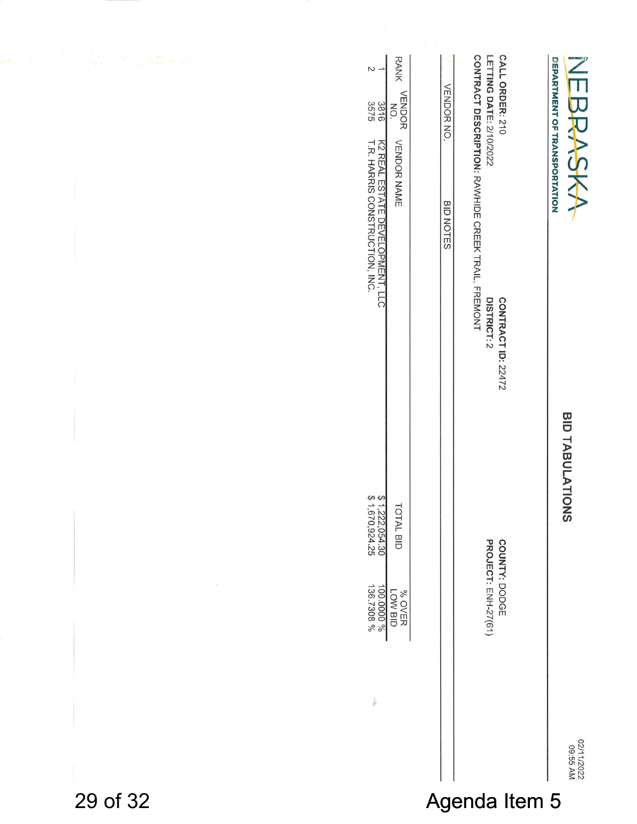|          | <b>RANK</b><br>$\sim$ $\sim$<br>VENDOR<br>NO.<br>3816<br>3575                           | VENDOR NO.    | LETTING DATE: 2/10/2022<br>CALL ORDER: 210         | DEPARTMENT OF TRANSPORTATION<br>$\overline{\phantom{a}}$<br>一九九九 |  |  |
|----------|-----------------------------------------------------------------------------------------|---------------|----------------------------------------------------|------------------------------------------------------------------|--|--|
|          | K2 REAL ESTATE DEVELOPMENT, LLC<br>T.R. HARRIS CONSTRUCTION, INC.<br><b>VENDOR NAME</b> | BID NOTES     | CONTRACT DESCRIPTION: RAWHIDE CREEK TRAIL, FREMONT | YSY                                                              |  |  |
|          |                                                                                         |               | DISTRICT: 2<br><b>CONTRACT ID: 22472</b>           |                                                                  |  |  |
|          |                                                                                         |               |                                                    | BID TABULATIONS                                                  |  |  |
|          | $$1,222,054.30$<br>$$1,670,924.25$<br>TOTAL BID                                         |               |                                                    |                                                                  |  |  |
|          | 100.0000 %<br>% OVER<br>LOW BID                                                         |               | PROJECT: ENH-27(61)<br>COUNTY: DODGE               |                                                                  |  |  |
|          | ł                                                                                       |               |                                                    |                                                                  |  |  |
|          |                                                                                         |               |                                                    | 02/11/2022<br>09:55 AM                                           |  |  |
| 29 of 32 |                                                                                         | Agenda Item 5 |                                                    |                                                                  |  |  |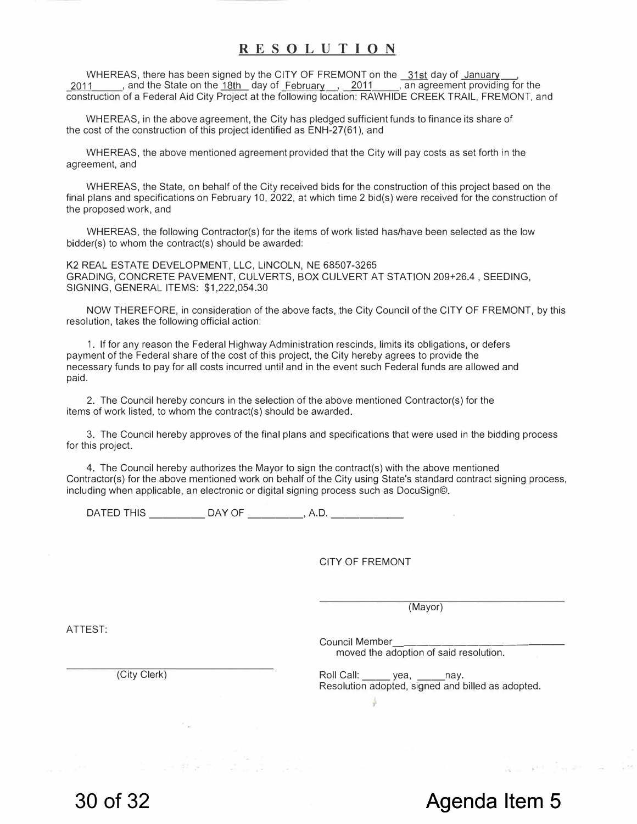#### **RESOLUTION**

WHEREAS, there has been signed by the CITY OF FREMONT on the 31st day of January 2011 , and the State on the 18th day of February , 2011 , an agreement providing for the construction of a Federal Aid City Project at the following location: RAWHIDE CREEK TRAIL, FREMONT, and

WHEREAS, in the above agreement, the City has pledged sufficient funds to finance its share of the cost of the construction of this project identified as ENH-27(61 ), and

WHEREAS, the above mentioned agreement provided that the City will pay costs as set forth in the agreement, and

WHEREAS, the State, on behalf of the City received bids for the construction of this project based on the final plans and specifications on February 10, 2022, at which time 2 bid(s) were received for the construction of the proposed work, and

WHEREAS, the following Contractor(s) for the items of work listed has/have been selected as the low bidder(s) to whom the contract(s) should be awarded:

K2 REAL ESTATE DEVELOPMENT, LLC, LINCOLN, NE 68507-3265 GRADING, CONCRETE PAVEMENT, CULVERTS, BOX CULVERT AT STATION 209+26.4 , SEEDING, SIGNING, GENERAL ITEMS: \$1,222,054.30

NOW THEREFORE, in consideration of the above facts, the City Council of the CITY OF FREMONT, by this resolution, takes the following official action:

1. If for any reason the Federal Highway Administration rescinds, limits its obligations, or defers payment of the Federal share of the cost of this project, the City hereby agrees to provide the necessary funds to pay for all costs incurred until and in the event such Federal funds are allowed and paid.

2. The Council hereby concurs in the selection of the above mentioned Contractor(s) for the items of work listed, to whom the contract(s) should be awarded.

3. The Council hereby approves of the final plans and specifications that were used in the bidding process for this project.

4. The Council hereby authorizes the Mayor to sign the contract(s) with the *above* mentioned Contractor(s) for the above mentioned work on behalf of the City using State's standard contract signing process, including when applicable, an electronic or digital signing process such as DocuSign©.

DATED THIS \_\_\_\_\_\_\_\_\_\_\_\_ DAY OF \_\_\_\_\_\_\_\_\_\_\_, A.D. \_\_\_\_\_

#### CITY OF FREMONT

(Mayor)

Council Member \_\_\_\_\_\_\_\_\_\_\_\_\_ \_ *moved* the adoption of said resolution.

(City Clerk) **Roll Call:** Press, 2014, 2014 Resolution adopted, signed and billed as adopted.

ATTEST: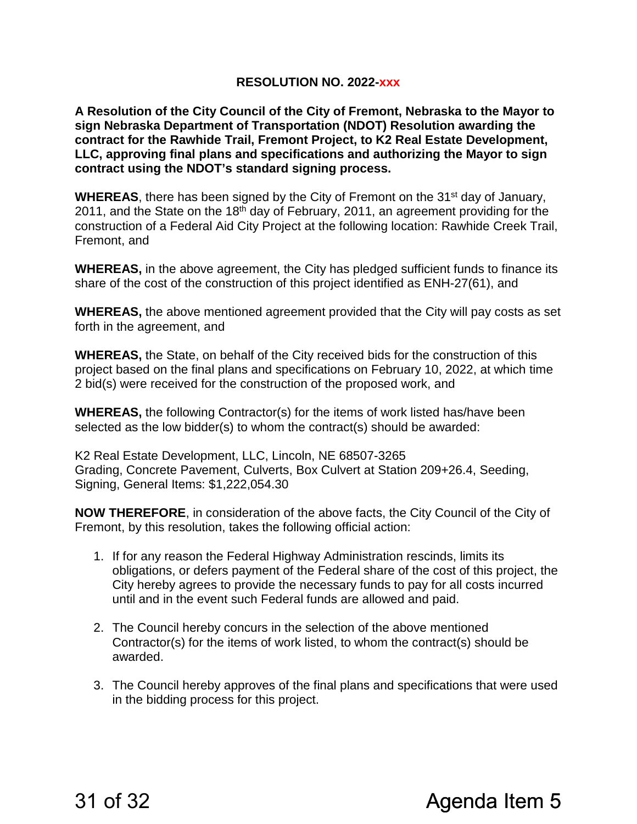#### **RESOLUTION NO. 2022-xxx**

**A Resolution of the City Council of the City of Fremont, Nebraska to the Mayor to sign Nebraska Department of Transportation (NDOT) Resolution awarding the contract for the Rawhide Trail, Fremont Project, to K2 Real Estate Development, LLC, approving final plans and specifications and authorizing the Mayor to sign contract using the NDOT's standard signing process.** 

**WHEREAS**, there has been signed by the City of Fremont on the 31<sup>st</sup> day of January, 2011, and the State on the 18<sup>th</sup> day of February, 2011, an agreement providing for the construction of a Federal Aid City Project at the following location: Rawhide Creek Trail, Fremont, and

**WHEREAS,** in the above agreement, the City has pledged sufficient funds to finance its share of the cost of the construction of this project identified as ENH-27(61), and

**WHEREAS,** the above mentioned agreement provided that the City will pay costs as set forth in the agreement, and

**WHEREAS,** the State, on behalf of the City received bids for the construction of this project based on the final plans and specifications on February 10, 2022, at which time 2 bid(s) were received for the construction of the proposed work, and

**WHEREAS,** the following Contractor(s) for the items of work listed has/have been selected as the low bidder(s) to whom the contract(s) should be awarded:

K2 Real Estate Development, LLC, Lincoln, NE 68507-3265 Grading, Concrete Pavement, Culverts, Box Culvert at Station 209+26.4, Seeding, Signing, General Items: \$1,222,054.30

**NOW THEREFORE**, in consideration of the above facts, the City Council of the City of Fremont, by this resolution, takes the following official action:

- 1. If for any reason the Federal Highway Administration rescinds, limits its obligations, or defers payment of the Federal share of the cost of this project, the City hereby agrees to provide the necessary funds to pay for all costs incurred until and in the event such Federal funds are allowed and paid.
- 2. The Council hereby concurs in the selection of the above mentioned Contractor(s) for the items of work listed, to whom the contract(s) should be awarded.
- 3. The Council hereby approves of the final plans and specifications that were used in the bidding process for this project.